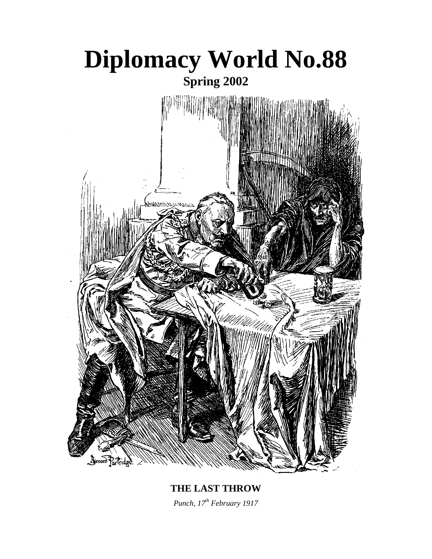

**THE LAST THROW**  *Punch, 17th February 1917*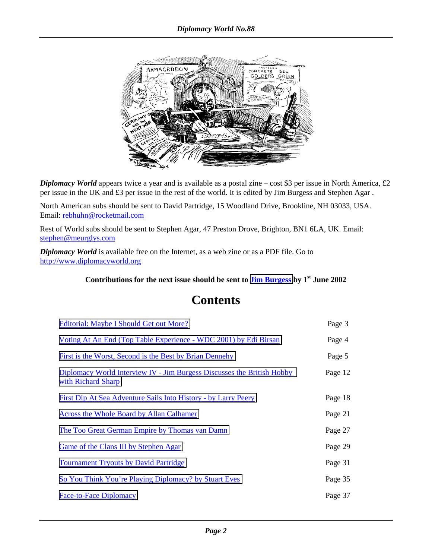

*Diplomacy World* appears twice a year and is available as a postal zine – cost \$3 per issue in North America, £2 per issue in the UK and £3 per issue in the rest of the world. It is edited by Jim Burgess and Stephen Agar .

North American subs should be sent to David Partridge, 15 Woodland Drive, Brookline, NH 03033, USA. Email: rebhuhn@rocketmail.com

Rest of World subs should be sent to Stephen Agar, 47 Preston Drove, Brighton, BN1 6LA, UK. Email: stephen@meurglys.com

*Diplomacy World* is available free on the Internet, as a web zine or as a PDF file. Go to http://www.diplomacyworld.org

Contributions for the next issue should be sent to **Jim Burgess** by 1<sup>st</sup> June 2002

| Editorial: Maybe I Should Get out More?                                                             | Page 3  |
|-----------------------------------------------------------------------------------------------------|---------|
| Voting At An End (Top Table Experience - WDC 2001) by Edi Birsan                                    | Page 4  |
| First is the Worst, Second is the Best by Brian Dennehy                                             | Page 5  |
| <b>Diplomacy World Interview IV - Jim Burgess Discusses the British Hobby</b><br>with Richard Sharp | Page 12 |
| <b>First Dip At Sea Adventure Sails Into History - by Larry Peery</b>                               | Page 18 |
| Across the Whole Board by Allan Calhamer                                                            | Page 21 |
| <u>The Too Great German Empire by Thomas van Damn</u>                                               | Page 27 |
| Game of the Clans III by Stephen Agar                                                               | Page 29 |
| <b>Tournament Tryouts by David Partridge</b>                                                        | Page 31 |
| So You Think You're Playing Diplomacy? by Stuart Eves                                               | Page 35 |
| <b>Face-to-Face Diplomacy</b>                                                                       | Page 37 |

# **Contents**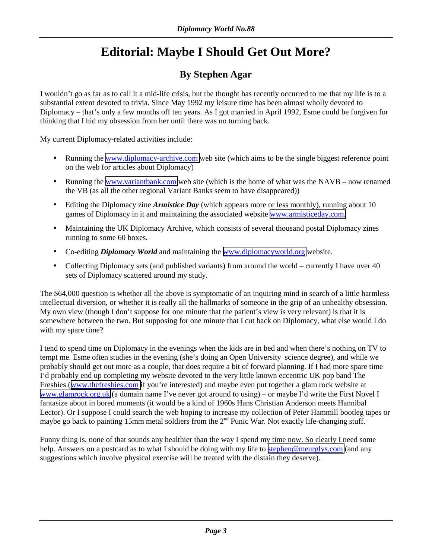# **Editorial: Maybe I Should Get Out More?**

# **By Stephen Agar**

<span id="page-2-0"></span>I wouldn't go as far as to call it a mid-life crisis, but the thought has recently occurred to me that my life is to a substantial extent devoted to trivia. Since May 1992 my leisure time has been almost wholly devoted to Diplomacy – that's only a few months off ten years. As I got married in April 1992, Esme could be forgiven for thinking that I hid my obsession from her until there was no turning back.

My current Diplomacy-related activities include:

- Running the [www.diplomacy-archive.com](http://www.diplomacy-archive.com/) web site (which aims to be the single biggest reference point on the web for articles about Diplomacy)
- Running the [www.variantbank.com](http://www.variantbank.com/) web site (which is the home of what was the NAVB now renamed the VB (as all the other regional Variant Banks seem to have disappeared))
- Editing the Diplomacy zine *Armistice Day* (which appears more or less monthly), running about 10 games of Diplomacy in it and maintaining the associated website [www.armisticeday.com.](http://www.armisticeday.com/)
- Maintaining the UK Diplomacy Archive, which consists of several thousand postal Diplomacy zines running to some 60 boxes.
- Co-editing *Diplomacy World* and maintaining the [www.diplomacyworld.org](http://www.diplomacyworld.org/) website.
- Collecting Diplomacy sets (and published variants) from around the world currently I have over 40 sets of Diplomacy scattered around my study.

The \$64,000 question is whether all the above is symptomatic of an inquiring mind in search of a little harmless intellectual diversion, or whether it is really all the hallmarks of someone in the grip of an unhealthy obsession. My own view (though I don't suppose for one minute that the patient's view is very relevant) is that it is somewhere between the two. But supposing for one minute that I cut back on Diplomacy, what else would I do with my spare time?

I tend to spend time on Diplomacy in the evenings when the kids are in bed and when there's nothing on TV to tempt me. Esme often studies in the evening (she's doing an Open University science degree), and while we probably should get out more as a couple, that does require a bit of forward planning. If I had more spare time I'd probably end up completing my website devoted to the very little known eccentric UK pop band The Freshies ([www.thefreshies.com](http://www.thefreshies.com/) if you're interested) and maybe even put together a glam rock website at [www.glamrock.org.uk](http://www.glamrock.org.uk/) (a domain name I've never got around to using) – or maybe I'd write the First Novel I fantasize about in bored moments (it would be a kind of 1960s Hans Christian Anderson meets Hannibal Lector). Or I suppose I could search the web hoping to increase my collection of Peter Hammill bootleg tapes or maybe go back to painting 15mm metal soldiers from the 2<sup>nd</sup> Punic War. Not exactly life-changing stuff.

Funny thing is, none of that sounds any healthier than the way I spend my time now. So clearly I need some help. Answers on a postcard as to what I should be doing with my life to [stephen@meurglys.com](mailto:stephen@meurglys.com) (and any suggestions which involve physical exercise will be treated with the distain they deserve).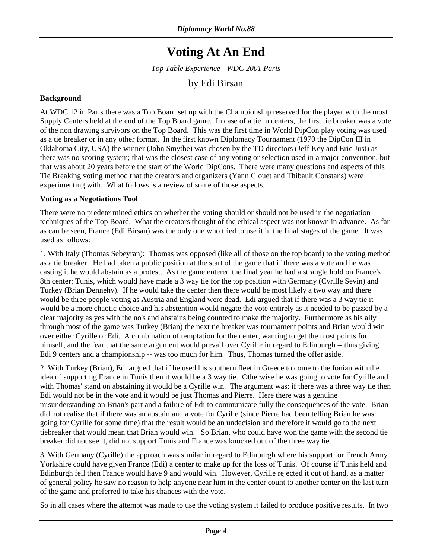# **Voting At An End**

*Top Table Experience - WDC 2001 Paris* 

## by Edi Birsan

### <span id="page-3-0"></span>**Background**

At WDC 12 in Paris there was a Top Board set up with the Championship reserved for the player with the most Supply Centers held at the end of the Top Board game. In case of a tie in centers, the first tie breaker was a vote of the non drawing survivors on the Top Board. This was the first time in World DipCon play voting was used as a tie breaker or in any other format. In the first known Diplomacy Tournament (1970 the DipCon III in Oklahoma City, USA) the winner (John Smythe) was chosen by the TD directors (Jeff Key and Eric Just) as there was no scoring system; that was the closest case of any voting or selection used in a major convention, but that was about 20 years before the start of the World DipCons. There were many questions and aspects of this Tie Breaking voting method that the creators and organizers (Yann Clouet and Thibault Constans) were experimenting with. What follows is a review of some of those aspects.

#### **Voting as a Negotiations Tool**

There were no predetermined ethics on whether the voting should or should not be used in the negotiation techniques of the Top Board. What the creators thought of the ethical aspect was not known in advance. As far as can be seen, France (Edi Birsan) was the only one who tried to use it in the final stages of the game. It was used as follows:

1. With Italy (Thomas Sebeyran): Thomas was opposed (like all of those on the top board) to the voting method as a tie breaker. He had taken a public position at the start of the game that if there was a vote and he was casting it he would abstain as a protest. As the game entered the final year he had a strangle hold on France's 8th center: Tunis, which would have made a 3 way tie for the top position with Germany (Cyrille Sevin) and Turkey (Brian Dennehy). If he would take the center then there would be most likely a two way and there would be three people voting as Austria and England were dead. Edi argued that if there was a 3 way tie it would be a more chaotic choice and his abstention would negate the vote entirely as it needed to be passed by a clear majority as yes with the no's and abstains being counted to make the majority. Furthermore as his ally through most of the game was Turkey (Brian) the next tie breaker was tournament points and Brian would win over either Cyrille or Edi. A combination of temptation for the center, wanting to get the most points for himself, and the fear that the same argument would prevail over Cyrille in regard to Edinburgh -- thus giving Edi 9 centers and a championship -- was too much for him. Thus, Thomas turned the offer aside.

2. With Turkey (Brian), Edi argued that if he used his southern fleet in Greece to come to the Ionian with the idea of supporting France in Tunis then it would be a 3 way tie. Otherwise he was going to vote for Cyrille and with Thomas' stand on abstaining it would be a Cyrille win. The argument was: if there was a three way tie then Edi would not be in the vote and it would be just Thomas and Pierre. Here there was a genuine misunderstanding on Brian's part and a failure of Edi to communicate fully the consequences of the vote. Brian did not realise that if there was an abstain and a vote for Cyrille (since Pierre had been telling Brian he was going for Cyrille for some time) that the result would be an undecision and therefore it would go to the next tiebreaker that would mean that Brian would win. So Brian, who could have won the game with the second tie breaker did not see it, did not support Tunis and France was knocked out of the three way tie.

3. With Germany (Cyrille) the approach was similar in regard to Edinburgh where his support for French Army Yorkshire could have given France (Edi) a center to make up for the loss of Tunis. Of course if Tunis held and Edinburgh fell then France would have 9 and would win. However, Cyrille rejected it out of hand, as a matter of general policy he saw no reason to help anyone near him in the center count to another center on the last turn of the game and preferred to take his chances with the vote.

So in all cases where the attempt was made to use the voting system it failed to produce positive results. In two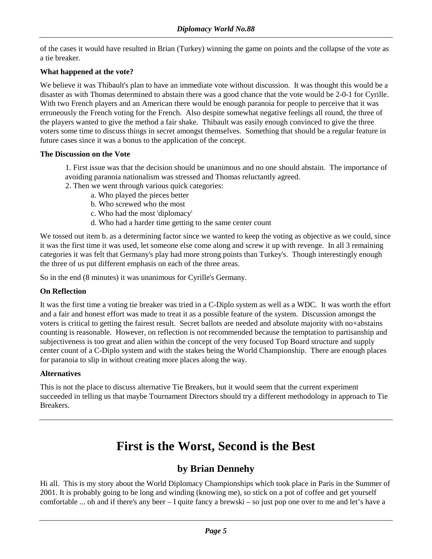<span id="page-4-0"></span>of the cases it would have resulted in Brian (Turkey) winning the game on points and the collapse of the vote as a tie breaker.

### **What happened at the vote?**

We believe it was Thibault's plan to have an immediate vote without discussion. It was thought this would be a disaster as with Thomas determined to abstain there was a good chance that the vote would be 2-0-1 for Cyrille. With two French players and an American there would be enough paranoia for people to perceive that it was erroneously the French voting for the French. Also despite somewhat negative feelings all round, the three of the players wanted to give the method a fair shake. Thibault was easily enough convinced to give the three voters some time to discuss things in secret amongst themselves. Something that should be a regular feature in future cases since it was a bonus to the application of the concept.

#### **The Discussion on the Vote**

- 1. First issue was that the decision should be unanimous and no one should abstain. The importance of avoiding paranoia nationalism was stressed and Thomas reluctantly agreed.
- 2. Then we went through various quick categories:
	- a. Who played the pieces better
	- b. Who screwed who the most
	- c. Who had the most 'diplomacy'
	- d. Who had a harder time getting to the same center count

We tossed out item b. as a determining factor since we wanted to keep the voting as objective as we could, since it was the first time it was used, let someone else come along and screw it up with revenge. In all 3 remaining categories it was felt that Germany's play had more strong points than Turkey's. Though interestingly enough the three of us put different emphasis on each of the three areas.

So in the end (8 minutes) it was unanimous for Cyrille's Germany.

#### **On Reflection**

It was the first time a voting tie breaker was tried in a C-Diplo system as well as a WDC. It was worth the effort and a fair and honest effort was made to treat it as a possible feature of the system. Discussion amongst the voters is critical to getting the fairest result. Secret ballots are needed and absolute majority with no+abstains counting is reasonable. However, on reflection is not recommended because the temptation to partisanship and subjectiveness is too great and alien within the concept of the very focused Top Board structure and supply center count of a C-Diplo system and with the stakes being the World Championship. There are enough places for paranoia to slip in without creating more places along the way.

#### **Alternatives**

This is not the place to discuss alternative Tie Breakers, but it would seem that the current experiment succeeded in telling us that maybe Tournament Directors should try a different methodology in approach to Tie Breakers.

# **First is the Worst, Second is the Best**

## **by Brian Dennehy**

Hi all. This is my story about the World Diplomacy Championships which took place in Paris in the Summer of 2001. It is probably going to be long and winding (knowing me), so stick on a pot of coffee and get yourself comfortable ... oh and if there's any beer – I quite fancy a brewski – so just pop one over to me and let's have a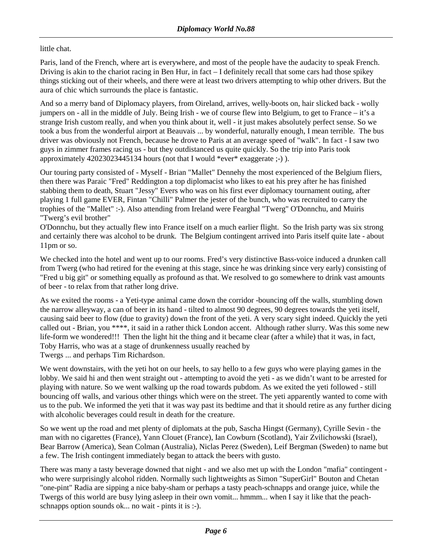### little chat.

Paris, land of the French, where art is everywhere, and most of the people have the audacity to speak French. Driving is akin to the chariot racing in Ben Hur, in fact – I definitely recall that some cars had those spikey things sticking out of their wheels, and there were at least two drivers attempting to whip other drivers. But the aura of chic which surrounds the place is fantastic.

And so a merry band of Diplomacy players, from Oireland, arrives, welly-boots on, hair slicked back - wolly jumpers on - all in the middle of July. Being Irish - we of course flew into Belgium, to get to France – it's a strange Irish custom really, and when you think about it, well - it just makes absolutely perfect sense. So we took a bus from the wonderful airport at Beauvais ... by wonderful, naturally enough, I mean terrible. The bus driver was obviously not French, because he drove to Paris at an average speed of "walk". In fact - I saw two guys in zimmer frames racing us - but they outdistanced us quite quickly. So the trip into Paris took approximately 42023023445134 hours (not that I would \*ever\* exaggerate ;-) ).

Our touring party consisted of - Myself - Brian "Mallet" Dennehy the most experienced of the Belgium fliers, then there was Paraic "Fred" Reddington a top diplomacist who likes to eat his prey after he has finished stabbing them to death, Stuart "Jessy" Evers who was on his first ever diplomacy tournament outing, after playing 1 full game EVER, Fintan "Chilli" Palmer the jester of the bunch, who was recruited to carry the trophies of the "Mallet" :-). Also attending from Ireland were Fearghal "Twerg" O'Donnchu, and Muiris "Twerg's evil brother"

O'Donnchu, but they actually flew into France itself on a much earlier flight. So the Irish party was six strong and certainly there was alcohol to be drunk. The Belgium contingent arrived into Paris itself quite late - about 11pm or so.

We checked into the hotel and went up to our rooms. Fred's very distinctive Bass-voice induced a drunken call from Twerg (who had retired for the evening at this stage, since he was drinking since very early) consisting of "Fred u big git" or something equally as profound as that. We resolved to go somewhere to drink vast amounts of beer - to relax from that rather long drive.

As we exited the rooms - a Yeti-type animal came down the corridor -bouncing off the walls, stumbling down the narrow alleyway, a can of beer in its hand - tilted to almost 90 degrees, 90 degrees towards the yeti itself, causing said beer to flow (due to gravity) down the front of the yeti. A very scary sight indeed. Quickly the yeti called out - Brian, you \*\*\*\*, it said in a rather thick London accent. Although rather slurry. Was this some new life-form we wondered!!! Then the light hit the thing and it became clear (after a while) that it was, in fact, Toby Harris, who was at a stage of drunkenness usually reached by Twergs ... and perhaps Tim Richardson.

We went downstairs, with the yeti hot on our heels, to say hello to a few guys who were playing games in the lobby. We said hi and then went straight out - attempting to avoid the yeti - as we didn't want to be arrested for playing with nature. So we went walking up the road towards pubdom. As we exited the yeti followed - still bouncing off walls, and various other things which were on the street. The yeti apparently wanted to come with us to the pub. We informed the yeti that it was way past its bedtime and that it should retire as any further dicing with alcoholic beverages could result in death for the creature.

So we went up the road and met plenty of diplomats at the pub, Sascha Hingst (Germany), Cyrille Sevin - the man with no cigarettes (France), Yann Clouet (France), Ian Cowburn (Scotland), Yair Zvilichowski (Israel), Bear Barrow (America), Sean Colman (Australia), Niclas Perez (Sweden), Leif Bergman (Sweden) to name but a few. The Irish contingent immediately began to attack the beers with gusto.

There was many a tasty beverage downed that night - and we also met up with the London "mafia" contingent who were surprisingly alcohol ridden. Normally such lightweights as Simon "SuperGirl" Bouton and Chetan "one-pint" Radia are sipping a nice baby-sham or perhaps a tasty peach-schnapps and orange juice, while the Twergs of this world are busy lying asleep in their own vomit... hmmm... when I say it like that the peachschnapps option sounds ok... no wait - pints it is :-).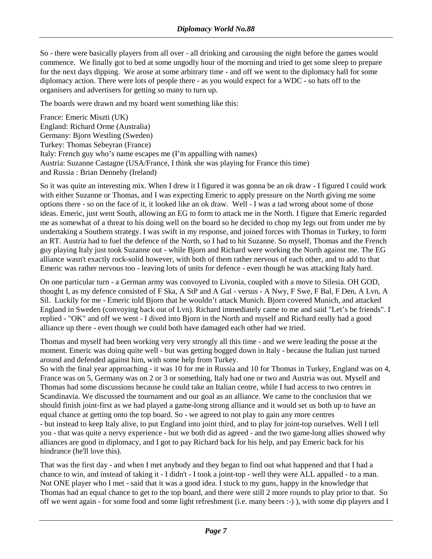So - there were basically players from all over - all drinking and carousing the night before the games would commence. We finally got to bed at some ungodly hour of the morning and tried to get some sleep to prepare for the next days dipping. We arose at some arbitrary time - and off we went to the diplomacy hall for some diplomacy action. There were lots of people there - as you would expect for a WDC - so hats off to the organisers and advertisers for getting so many to turn up.

The boards were drawn and my board went something like this:

France: Emeric Miszti (UK) England: Richard Orme (Australia) Germany: Bjorn Westling (Sweden) Turkey: Thomas Sebeyran (France) Italy: French guy who's name escapes me (I'm appalling with names) Austria: Suzanne Castagne (USA/France, I think she was playing for France this time) and Russia : Brian Dennehy (Ireland)

So it was quite an interesting mix. When I drew it I figured it was gonna be an ok draw - I figured I could work with either Suzanne or Thomas, and I was expecting Emeric to apply pressure on the North giving me some options there - so on the face of it, it looked like an ok draw. Well - I was a tad wrong about some of those ideas. Emeric, just went South, allowing an EG to form to attack me in the North. I figure that Emeric regarded me as somewhat of a threat to his doing well on the board so he decided to chop my legs out from under me by undertaking a Southern strategy. I was swift in my response, and joined forces with Thomas in Turkey, to form an RT. Austria had to fuel the defence of the North, so I had to hit Suzanne. So myself, Thomas and the French guy playing Italy just took Suzanne out - while Bjorn and Richard were working the North against me. The EG alliance wasn't exactly rock-solid however, with both of them rather nervous of each other, and to add to that Emeric was rather nervous too - leaving lots of units for defence - even though he was attacking Italy hard.

On one particular turn - a German army was convoyed to Livonia, coupled with a move to Silesia. OH GOD, thought I, as my defence consisted of F Ska, A StP and A Gal - versus - A Nwy, F Swe, F Bal, F Den, A Lvn, A Sil. Luckily for me - Emeric told Bjorn that he wouldn't attack Munich. Bjorn covered Munich, and attacked England in Sweden (convoying back out of Lvn). Richard immediately came to me and said "Let's be friends". I replied - "OK" and off we went - I dived into Bjorn in the North and myself and Richard really had a good alliance up there - even though we could both have damaged each other had we tried.

Thomas and myself had been working very very strongly all this time - and we were leading the posse at the moment. Emeric was doing quite well - but was getting bogged down in Italy - because the Italian just turned around and defended against him, with some help from Turkey.

So with the final year approaching - it was 10 for me in Russia and 10 for Thomas in Turkey, England was on 4, France was on 5, Germany was on 2 or 3 or something, Italy had one or two and Austria was out. Myself and Thomas had some discussions because he could take an Italian centre, while I had access to two centres in Scandinavia. We discussed the tournament and our goal as an alliance. We came to the conclusion that we should finish joint-first as we had played a game-long strong alliance and it would set us both up to have an equal chance at getting onto the top board. So - we agreed to not play to gain any more centres - but instead to keep Italy alive, to put England into joint third, and to play for joint-top ourselves. Well I tell you - that was quite a nervy experience - but we both did as agreed - and the two game-long allies showed why alliances are good in diplomacy, and I got to pay Richard back for his help, and pay Emeric back for his hindrance (he'll love this).

That was the first day - and when I met anybody and they began to find out what happened and that I had a chance to win, and instead of taking it - I didn't - I took a joint-top - well they were ALL appalled - to a man. Not ONE player who I met - said that it was a good idea. I stuck to my guns, happy in the knowledge that Thomas had an equal chance to get to the top board, and there were still 2 more rounds to play prior to that. So off we went again - for some food and some light refreshment (i.e. many beers :-) ), with some dip players and I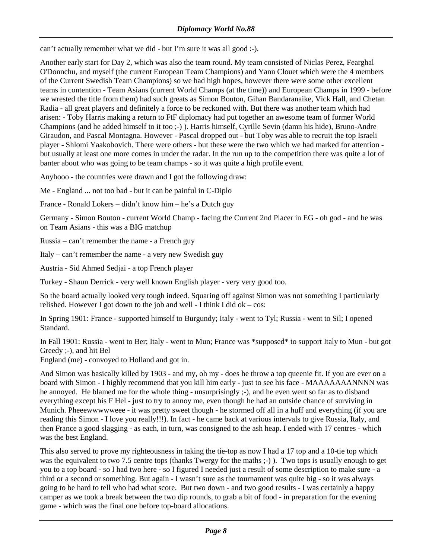can't actually remember what we did - but I'm sure it was all good :-).

Another early start for Day 2, which was also the team round. My team consisted of Niclas Perez, Fearghal O'Donnchu, and myself (the current European Team Champions) and Yann Clouet which were the 4 members of the Current Swedish Team Champions) so we had high hopes, however there were some other excellent teams in contention - Team Asians (current World Champs (at the time)) and European Champs in 1999 - before we wrested the title from them) had such greats as Simon Bouton, Gihan Bandaranaike, Vick Hall, and Chetan Radia - all great players and definitely a force to be reckoned with. But there was another team which had arisen: - Toby Harris making a return to FtF diplomacy had put together an awesome team of former World Champions (and he added himself to it too ;-) ). Harris himself, Cyrille Sevin (damn his hide), Bruno-Andre Giraudon, and Pascal Montagna. However - Pascal dropped out - but Toby was able to recruit the top Israeli player - Shlomi Yaakobovich. There were others - but these were the two which we had marked for attention but usually at least one more comes in under the radar. In the run up to the competition there was quite a lot of banter about who was going to be team champs - so it was quite a high profile event.

Anyhooo - the countries were drawn and I got the following draw:

Me - England ... not too bad - but it can be painful in C-Diplo

France - Ronald Lokers – didn't know him – he's a Dutch guy

Germany - Simon Bouton - current World Champ - facing the Current 2nd Placer in EG - oh god - and he was on Team Asians - this was a BIG matchup

Russia – can't remember the name - a French guy

Italy – can't remember the name - a very new Swedish guy

Austria - Sid Ahmed Sedjai - a top French player

Turkey - Shaun Derrick - very well known English player - very very good too.

So the board actually looked very tough indeed. Squaring off against Simon was not something I particularly relished. However I got down to the job and well - I think I did ok – cos:

In Spring 1901: France - supported himself to Burgundy; Italy - went to Tyl; Russia - went to Sil; I opened Standard.

In Fall 1901: Russia - went to Ber; Italy - went to Mun; France was \*supposed\* to support Italy to Mun - but got Greedy ;-), and hit Bel

England (me) - convoyed to Holland and got in.

And Simon was basically killed by 1903 - and my, oh my - does he throw a top queenie fit. If you are ever on a board with Simon - I highly recommend that you kill him early - just to see his face - MAAAAAAANNNN was he annoyed. He blamed me for the whole thing - unsurprisingly ;-), and he even went so far as to disband everything except his F Hel - just to try to annoy me, even though he had an outside chance of surviving in Munich. Pheeewwwwweee - it was pretty sweet though - he stormed off all in a huff and everything (if you are reading this Simon - I love you really!!!). In fact - he came back at various intervals to give Russia, Italy, and then France a good slagging - as each, in turn, was consigned to the ash heap. I ended with 17 centres - which was the best England.

This also served to prove my righteousness in taking the tie-top as now I had a 17 top and a 10-tie top which was the equivalent to two 7.5 centre tops (thanks Twergy for the maths ;-)). Two tops is usually enough to get you to a top board - so I had two here - so I figured I needed just a result of some description to make sure - a third or a second or something. But again - I wasn't sure as the tournament was quite big - so it was always going to be hard to tell who had what score. But two down - and two good results - I was certainly a happy camper as we took a break between the two dip rounds, to grab a bit of food - in preparation for the evening game - which was the final one before top-board allocations.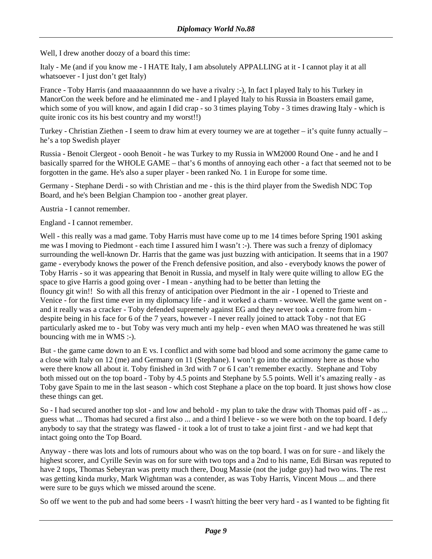Well, I drew another doozy of a board this time:

Italy - Me (and if you know me - I HATE Italy, I am absolutely APPALLING at it - I cannot play it at all whatsoever - I just don't get Italy)

France - Toby Harris (and maaaaaannnnn do we have a rivalry :-), In fact I played Italy to his Turkey in ManorCon the week before and he eliminated me - and I played Italy to his Russia in Boasters email game, which some of you will know, and again I did crap - so 3 times playing Toby - 3 times drawing Italy - which is quite ironic cos its his best country and my worst!!)

Turkey - Christian Ziethen - I seem to draw him at every tourney we are at together – it's quite funny actually – he's a top Swedish player

Russia - Benoit Clergeot - oooh Benoit - he was Turkey to my Russia in WM2000 Round One - and he and I basically sparred for the WHOLE GAME – that's 6 months of annoying each other - a fact that seemed not to be forgotten in the game. He's also a super player - been ranked No. 1 in Europe for some time.

Germany - Stephane Derdi - so with Christian and me - this is the third player from the Swedish NDC Top Board, and he's been Belgian Champion too - another great player.

Austria - I cannot remember.

England - I cannot remember.

Well - this really was a mad game. Toby Harris must have come up to me 14 times before Spring 1901 asking me was I moving to Piedmont - each time I assured him I wasn't :-). There was such a frenzy of diplomacy surrounding the well-known Dr. Harris that the game was just buzzing with anticipation. It seems that in a 1907 game - everybody knows the power of the French defensive position, and also - everybody knows the power of Toby Harris - so it was appearing that Benoit in Russia, and myself in Italy were quite willing to allow EG the space to give Harris a good going over - I mean - anything had to be better than letting the flouncy git win!! So with all this frenzy of anticipation over Piedmont in the air - I opened to Trieste and Venice - for the first time ever in my diplomacy life - and it worked a charm - wowee. Well the game went on and it really was a cracker - Toby defended supremely against EG and they never took a centre from him despite being in his face for 6 of the 7 years, however - I never really joined to attack Toby - not that EG particularly asked me to - but Toby was very much anti my help - even when MAO was threatened he was still bouncing with me in WMS :-).

But - the game came down to an E vs. I conflict and with some bad blood and some acrimony the game came to a close with Italy on 12 (me) and Germany on 11 (Stephane). I won't go into the acrimony here as those who were there know all about it. Toby finished in 3rd with 7 or 6 I can't remember exactly. Stephane and Toby both missed out on the top board - Toby by 4.5 points and Stephane by 5.5 points. Well it's amazing really - as Toby gave Spain to me in the last season - which cost Stephane a place on the top board. It just shows how close these things can get.

So - I had secured another top slot - and low and behold - my plan to take the draw with Thomas paid off - as ... guess what ... Thomas had secured a first also ... and a third I believe - so we were both on the top board. I defy anybody to say that the strategy was flawed - it took a lot of trust to take a joint first - and we had kept that intact going onto the Top Board.

Anyway - there was lots and lots of rumours about who was on the top board. I was on for sure - and likely the highest scorer, and Cyrille Sevin was on for sure with two tops and a 2nd to his name, Edi Birsan was reputed to have 2 tops, Thomas Sebeyran was pretty much there, Doug Massie (not the judge guy) had two wins. The rest was getting kinda murky, Mark Wightman was a contender, as was Toby Harris, Vincent Mous ... and there were sure to be guys which we missed around the scene.

So off we went to the pub and had some beers - I wasn't hitting the beer very hard - as I wanted to be fighting fit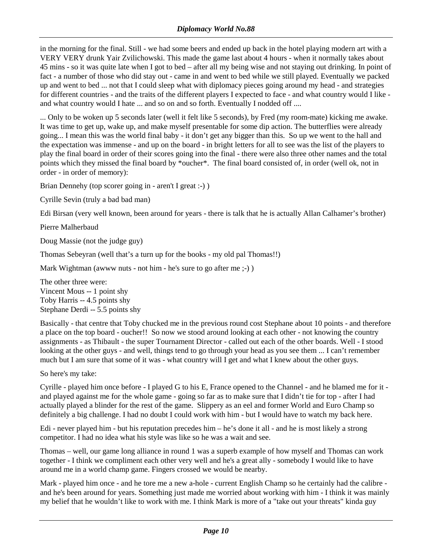in the morning for the final. Still - we had some beers and ended up back in the hotel playing modern art with a VERY VERY drunk Yair Zvilichowski. This made the game last about 4 hours - when it normally takes about 45 mins - so it was quite late when I got to bed – after all my being wise and not staying out drinking. In point of fact - a number of those who did stay out - came in and went to bed while we still played. Eventually we packed up and went to bed ... not that I could sleep what with diplomacy pieces going around my head - and strategies for different countries - and the traits of the different players I expected to face - and what country would I like and what country would I hate ... and so on and so forth. Eventually I nodded off ....

... Only to be woken up 5 seconds later (well it felt like 5 seconds), by Fred (my room-mate) kicking me awake. It was time to get up, wake up, and make myself presentable for some dip action. The butterflies were already going... I mean this was the world final baby - it don't get any bigger than this. So up we went to the hall and the expectation was immense - and up on the board - in bright letters for all to see was the list of the players to play the final board in order of their scores going into the final - there were also three other names and the total points which they missed the final board by \*oucher\*. The final board consisted of, in order (well ok, not in order - in order of memory):

Brian Dennehy (top scorer going in - aren't I great :-) )

Cyrille Sevin (truly a bad bad man)

Edi Birsan (very well known, been around for years - there is talk that he is actually Allan Calhamer's brother)

Pierre Malherbaud

Doug Massie (not the judge guy)

Thomas Sebeyran (well that's a turn up for the books - my old pal Thomas!!)

Mark Wightman (awww nuts - not him - he's sure to go after me ;-))

The other three were: Vincent Mous -- 1 point shy Toby Harris -- 4.5 points shy Stephane Derdi -- 5.5 points shy

Basically - that centre that Toby chucked me in the previous round cost Stephane about 10 points - and therefore a place on the top board - oucher!! So now we stood around looking at each other - not knowing the country assignments - as Thibault - the super Tournament Director - called out each of the other boards. Well - I stood looking at the other guys - and well, things tend to go through your head as you see them ... I can't remember much but I am sure that some of it was - what country will I get and what I knew about the other guys.

So here's my take:

Cyrille - played him once before - I played G to his E, France opened to the Channel - and he blamed me for it and played against me for the whole game - going so far as to make sure that I didn't tie for top - after I had actually played a blinder for the rest of the game. Slippery as an eel and former World and Euro Champ so definitely a big challenge. I had no doubt I could work with him - but I would have to watch my back here.

Edi - never played him - but his reputation precedes him – he's done it all - and he is most likely a strong competitor. I had no idea what his style was like so he was a wait and see.

Thomas – well, our game long alliance in round 1 was a superb example of how myself and Thomas can work together - I think we compliment each other very well and he's a great ally - somebody I would like to have around me in a world champ game. Fingers crossed we would be nearby.

Mark - played him once - and he tore me a new a-hole - current English Champ so he certainly had the calibre and he's been around for years. Something just made me worried about working with him - I think it was mainly my belief that he wouldn't like to work with me. I think Mark is more of a "take out your threats" kinda guy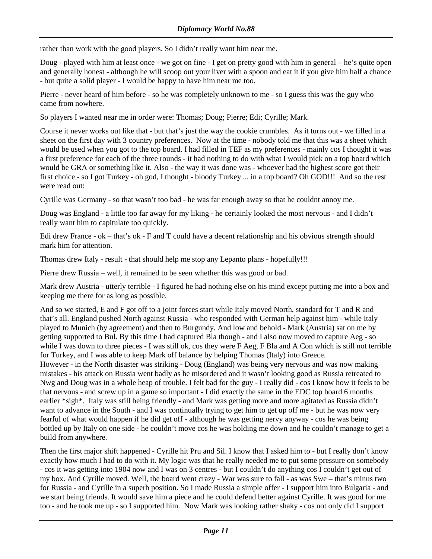rather than work with the good players. So I didn't really want him near me.

Doug - played with him at least once - we got on fine - I get on pretty good with him in general – he's quite open and generally honest - although he will scoop out your liver with a spoon and eat it if you give him half a chance - but quite a solid player - I would be happy to have him near me too.

Pierre - never heard of him before - so he was completely unknown to me - so I guess this was the guy who came from nowhere.

So players I wanted near me in order were: Thomas; Doug; Pierre; Edi; Cyrille; Mark.

Course it never works out like that - but that's just the way the cookie crumbles. As it turns out - we filled in a sheet on the first day with 3 country preferences. Now at the time - nobody told me that this was a sheet which would be used when you got to the top board. I had filled in TEF as my preferences - mainly cos I thought it was a first preference for each of the three rounds - it had nothing to do with what I would pick on a top board which would be GRA or something like it. Also - the way it was done was - whoever had the highest score got their first choice - so I got Turkey - oh god, I thought - bloody Turkey ... in a top board? Oh GOD!!! And so the rest were read out:

Cyrille was Germany - so that wasn't too bad - he was far enough away so that he couldnt annoy me.

Doug was England - a little too far away for my liking - he certainly looked the most nervous - and I didn't really want him to capitulate too quickly.

Edi drew France - ok – that's ok - F and T could have a decent relationship and his obvious strength should mark him for attention.

Thomas drew Italy - result - that should help me stop any Lepanto plans - hopefully!!!

Pierre drew Russia – well, it remained to be seen whether this was good or bad.

Mark drew Austria - utterly terrible - I figured he had nothing else on his mind except putting me into a box and keeping me there for as long as possible.

And so we started, E and F got off to a joint forces start while Italy moved North, standard for T and R and that's all. England pushed North against Russia - who responded with German help against him - while Italy played to Munich (by agreement) and then to Burgundy. And low and behold - Mark (Austria) sat on me by getting supported to Bul. By this time I had captured Bla though - and I also now moved to capture Aeg - so while I was down to three pieces - I was still ok, cos they were F Aeg, F Bla and A Con which is still not terrible for Turkey, and I was able to keep Mark off balance by helping Thomas (Italy) into Greece.

However - in the North disaster was striking - Doug (England) was being very nervous and was now making mistakes - his attack on Russia went badly as he misordered and it wasn't looking good as Russia retreated to Nwg and Doug was in a whole heap of trouble. I felt bad for the guy - I really did - cos I know how it feels to be that nervous - and screw up in a game so important - I did exactly the same in the EDC top board 6 months earlier \*sigh\*. Italy was still being friendly - and Mark was getting more and more agitated as Russia didn't want to advance in the South - and I was continually trying to get him to get up off me - but he was now very fearful of what would happen if he did get off - although he was getting nervy anyway - cos he was being bottled up by Italy on one side - he couldn't move cos he was holding me down and he couldn't manage to get a build from anywhere.

Then the first major shift happened - Cyrille hit Pru and Sil. I know that I asked him to - but I really don't know exactly how much I had to do with it. My logic was that he really needed me to put some pressure on somebody - cos it was getting into 1904 now and I was on 3 centres - but I couldn't do anything cos I couldn't get out of my box. And Cyrille moved. Well, the board went crazy - War was sure to fall - as was Swe – that's minus two for Russia - and Cyrille in a superb position. So I made Russia a simple offer - I support him into Bulgaria - and we start being friends. It would save him a piece and he could defend better against Cyrille. It was good for me too - and he took me up - so I supported him. Now Mark was looking rather shaky - cos not only did I support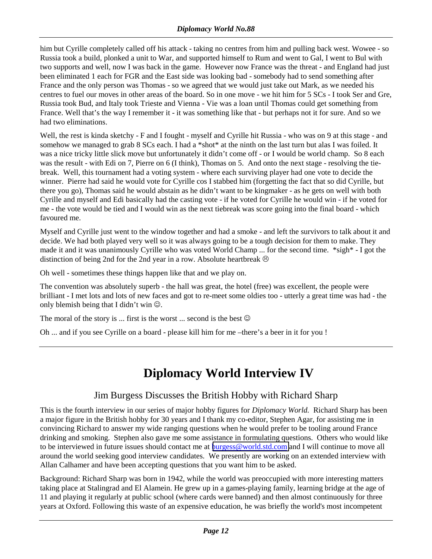<span id="page-11-0"></span>him but Cyrille completely called off his attack - taking no centres from him and pulling back west. Wowee - so Russia took a build, plonked a unit to War, and supported himself to Rum and went to Gal, I went to Bul with two supports and well, now I was back in the game. However now France was the threat - and England had just been eliminated 1 each for FGR and the East side was looking bad - somebody had to send something after France and the only person was Thomas - so we agreed that we would just take out Mark, as we needed his centres to fuel our moves in other areas of the board. So in one move - we hit him for 5 SCs - I took Ser and Gre, Russia took Bud, and Italy took Trieste and Vienna - Vie was a loan until Thomas could get something from France. Well that's the way I remember it - it was something like that - but perhaps not it for sure. And so we had two eliminations.

Well, the rest is kinda sketchy - F and I fought - myself and Cyrille hit Russia - who was on 9 at this stage - and somehow we managed to grab 8 SCs each. I had a \*shot\* at the ninth on the last turn but alas I was foiled. It was a nice tricky little slick move but unfortunately it didn't come off - or I would be world champ. So 8 each was the result - with Edi on 7, Pierre on 6 (I think), Thomas on 5. And onto the next stage - resolving the tiebreak. Well, this tournament had a voting system - where each surviving player had one vote to decide the winner. Pierre had said he would vote for Cyrille cos I stabbed him (forgetting the fact that so did Cyrille, but there you go), Thomas said he would abstain as he didn't want to be kingmaker - as he gets on well with both Cyrille and myself and Edi basically had the casting vote - if he voted for Cyrille he would win - if he voted for me - the vote would be tied and I would win as the next tiebreak was score going into the final board - which favoured me.

Myself and Cyrille just went to the window together and had a smoke - and left the survivors to talk about it and decide. We had both played very well so it was always going to be a tough decision for them to make. They made it and it was unanimously Cyrille who was voted World Champ ... for the second time. \*sigh\* - I got the distinction of being 2nd for the 2nd year in a row. Absolute heartbreak  $\odot$ 

Oh well - sometimes these things happen like that and we play on.

The convention was absolutely superb - the hall was great, the hotel (free) was excellent, the people were brilliant - I met lots and lots of new faces and got to re-meet some oldies too - utterly a great time was had - the only blemish being that I didn't win  $\odot$ .

The moral of the story is  $\ldots$  first is the worst  $\ldots$  second is the best  $\odot$ 

Oh ... and if you see Cyrille on a board - please kill him for me –there's a beer in it for you !

# **Diplomacy World Interview IV**

## Jim Burgess Discusses the British Hobby with Richard Sharp

This is the fourth interview in our series of major hobby figures for *Diplomacy World.* Richard Sharp has been a major figure in the British hobby for 30 years and I thank my co-editor, Stephen Agar, for assisting me in convincing Richard to answer my wide ranging questions when he would prefer to be tooling around France drinking and smoking. Stephen also gave me some assistance in formulating questions. Others who would like to be interviewed in future issues should contact me at [burgess@world.std.com](mailto:burgess@world.std.com) and I will continue to move all around the world seeking good interview candidates. We presently are working on an extended interview with Allan Calhamer and have been accepting questions that you want him to be asked.

Background: Richard Sharp was born in 1942, while the world was preoccupied with more interesting matters taking place at Stalingrad and El Alamein. He grew up in a games-playing family, learning bridge at the age of 11 and playing it regularly at public school (where cards were banned) and then almost continuously for three years at Oxford. Following this waste of an expensive education, he was briefly the world's most incompetent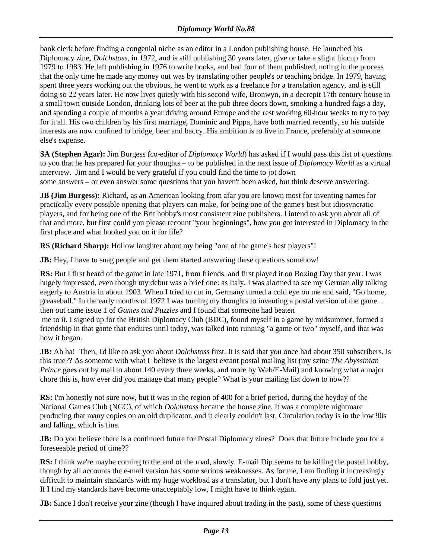bank clerk before finding a congenial niche as an editor in a London publishing house. He launched his Diplomacy zine, *Dolchstoss*, in 1972, and is still publishing 30 years later, give or take a slight hiccup from 1979 to 1983. He left publishing in 1976 to write books, and had four of them published, noting in the process that the only time he made any money out was by translating other people's or teaching bridge. In 1979, having spent three years working out the obvious, he went to work as a freelance for a translation agency, and is still doing so 22 years later. He now lives quietly with his second wife, Bronwyn, in a decrepit 17th century house in a small town outside London, drinking lots of beer at the pub three doors down, smoking a hundred fags a day, and spending a couple of months a year driving around Europe and the rest working 60-hour weeks to try to pay for it all. His two children by his first marriage, Dominic and Pippa, have both married recently, so his outside interests are now confined to bridge, beer and baccy. His ambition is to live in France, preferably at someone else's expense.

**SA (Stephen Agar):** Jim Burgess (co-editor of *Diplomacy World*) has asked if I would pass this list of questions to you that he has prepared for your thoughts – to be published in the next issue of *Diplomacy World* as a virtual interview. Jim and I would be very grateful if you could find the time to jot down some answers – or even answer some questions that you haven't been asked, but think deserve answering.

**JB (Jim Burgess):** Richard, as an American looking from afar you are known most for inventing names for practically every possible opening that players can make, for being one of the game's best but idiosyncratic players, and for being one of the Brit hobby's most consistent zine publishers. I intend to ask you about all of that and more, but first could you please recount "your beginnings", how you got interested in Diplomacy in the first place and what hooked you on it for life?

**RS (Richard Sharp):** Hollow laughter about my being "one of the game's best players"!

**JB:** Hey, I have to snag people and get them started answering these questions somehow!

**RS:** But I first heard of the game in late 1971, from friends, and first played it on Boxing Day that year. I was hugely impressed, even though my debut was a brief one: as Italy, I was alarmed to see my German ally talking eagerly to Austria in about 1903. When I tried to cut in, Germany turned a cold eye on me and said, "Go home, greaseball." In the early months of 1972 I was turning my thoughts to inventing a postal version of the game ... then out came issue 1 of *Games and Puzzles* and I found that someone had beaten

 me to it. I signed up for the British Diplomacy Club (BDC), found myself in a game by midsummer, formed a friendship in that game that endures until today, was talked into running "a game or two" myself, and that was how it began.

**JB:** Ah ha! Then, I'd like to ask you about *Dolchstoss* first. It is said that you once had about 350 subscribers. Is this true?? As someone with what I believe is the largest extant postal mailing list (my szine *The Abyssinian Prince* goes out by mail to about 140 every three weeks, and more by Web/E-Mail) and knowing what a major chore this is, how ever did you manage that many people? What is your mailing list down to now??

**RS:** I'm honestly not sure now, but it was in the region of 400 for a brief period, during the heyday of the National Games Club (NGC), of which *Dolchstoss* became the house zine. It was a complete nightmare producing that many copies on an old duplicator, and it clearly couldn't last. Circulation today is in the low 90s and falling, which is fine.

**JB:** Do you believe there is a continued future for Postal Diplomacy zines? Does that future include you for a foreseeable period of time??

**RS:** I think we're maybe coming to the end of the road, slowly. E-mail Dip seems to be killing the postal hobby, though by all accounts the e-mail version has some serious weaknesses. As for me, I am finding it increasingly difficult to maintain standards with my huge workload as a translator, but I don't have any plans to fold just yet. If I find my standards have become unacceptably low, I might have to think again.

**JB:** Since I don't receive your zine (though I have inquired about trading in the past), some of these questions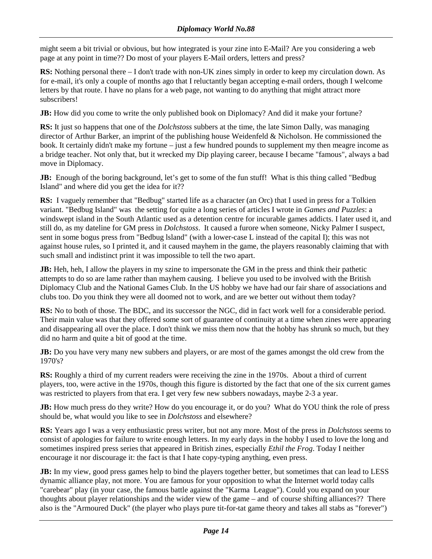might seem a bit trivial or obvious, but how integrated is your zine into E-Mail? Are you considering a web page at any point in time?? Do most of your players E-Mail orders, letters and press?

**RS:** Nothing personal there – I don't trade with non-UK zines simply in order to keep my circulation down. As for e-mail, it's only a couple of months ago that I reluctantly began accepting e-mail orders, though I welcome letters by that route. I have no plans for a web page, not wanting to do anything that might attract more subscribers!

**JB:** How did you come to write the only published book on Diplomacy? And did it make your fortune?

**RS:** It just so happens that one of the *Dolchstoss* subbers at the time, the late Simon Dally, was managing director of Arthur Barker, an imprint of the publishing house Weidenfeld & Nicholson. He commissioned the book. It certainly didn't make my fortune – just a few hundred pounds to supplement my then meagre income as a bridge teacher. Not only that, but it wrecked my Dip playing career, because I became "famous", always a bad move in Diplomacy.

**JB:** Enough of the boring background, let's get to some of the fun stuff! What is this thing called "Bedbug" Island" and where did you get the idea for it??

**RS:** I vaguely remember that "Bedbug" started life as a character (an Orc) that I used in press for a Tolkien variant. "Bedbug Island" was the setting for quite a long series of articles I wrote in *Games and Puzzles*: a windswept island in the South Atlantic used as a detention centre for incurable games addicts. I later used it, and still do, as my dateline for GM press in *Dolchstoss*. It caused a furore when someone, Nicky Palmer I suspect, sent in some bogus press from "Bedbug lsland" (with a lower-case L instead of the capital I); this was not against house rules, so I printed it, and it caused mayhem in the game, the players reasonably claiming that with such small and indistinct print it was impossible to tell the two apart.

**JB:** Heh, heh, I allow the players in my szine to impersonate the GM in the press and think their pathetic attempts to do so are lame rather than mayhem causing. I believe you used to be involved with the British Diplomacy Club and the National Games Club. In the US hobby we have had our fair share of associations and clubs too. Do you think they were all doomed not to work, and are we better out without them today?

**RS:** No to both of those. The BDC, and its successor the NGC, did in fact work well for a considerable period. Their main value was that they offered some sort of guarantee of continuity at a time when zines were appearing and disappearing all over the place. I don't think we miss them now that the hobby has shrunk so much, but they did no harm and quite a bit of good at the time.

**JB:** Do you have very many new subbers and players, or are most of the games amongst the old crew from the 1970's?

**RS:** Roughly a third of my current readers were receiving the zine in the 1970s. About a third of current players, too, were active in the 1970s, though this figure is distorted by the fact that one of the six current games was restricted to players from that era. I get very few new subbers nowadays, maybe 2-3 a year.

**JB:** How much press do they write? How do you encourage it, or do you? What do YOU think the role of press should be, what would you like to see in *Dolchstoss* and elsewhere?

**RS:** Years ago I was a very enthusiastic press writer, but not any more. Most of the press in *Dolchstoss* seems to consist of apologies for failure to write enough letters. In my early days in the hobby I used to love the long and sometimes inspired press series that appeared in British zines, especially *Ethil the Frog*. Today I neither encourage it nor discourage it: the fact is that I hate copy-typing anything, even press.

**JB:** In my view, good press games help to bind the players together better, but sometimes that can lead to LESS dynamic alliance play, not more. You are famous for your opposition to what the Internet world today calls "carebear" play (in your case, the famous battle against the "Karma League"). Could you expand on your thoughts about player relationships and the wider view of the game – and of course shifting alliances?? There also is the "Armoured Duck" (the player who plays pure tit-for-tat game theory and takes all stabs as "forever")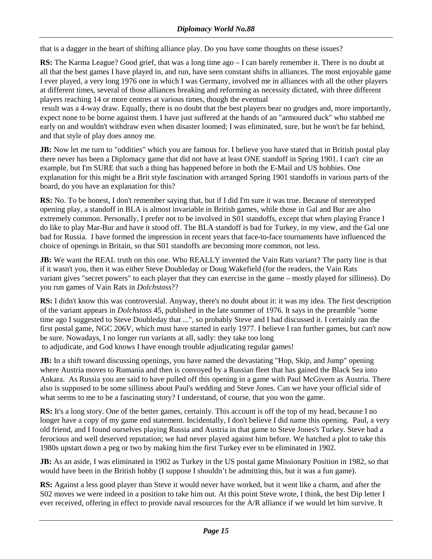that is a dagger in the heart of shifting alliance play. Do you have some thoughts on these issues?

**RS:** The Karma League? Good grief, that was a long time ago – I can barely remember it. There is no doubt at all that the best games I have played in, and run, have seen constant shifts in alliances. The most enjoyable game I ever played, a very long 1976 one in which I was Germany, involved me in alliances with all the other players at different times, several of those alliances breaking and reforming as necessity dictated, with three different players reaching 14 or more centres at various times, though the eventual

 result was a 4-way draw. Equally, there is no doubt that the best players bear no grudges and, more importantly, expect none to be borne against them. I have just suffered at the hands of an "armoured duck" who stabbed me early on and wouldn't withdraw even when disaster loomed; I was eliminated, sure, but he won't be far behind, and that style of play does annoy me.

**JB:** Now let me turn to "oddities" which you are famous for. I believe you have stated that in British postal play there never has been a Diplomacy game that did not have at least ONE standoff in Spring 1901. I can't cite an example, but I'm SURE that such a thing has happened before in both the E-Mail and US hobbies. One explanation for this might be a Brit style fascination with arranged Spring 1901 standoffs in various parts of the board, do you have an explanation for this?

**RS:** No. To be honest, I don't remember saying that, but if I did I'm sure it was true. Because of stereotyped opening play, a standoff in BLA is almost invariable in British games, while those in Gal and Bur are also extremely common. Personally, I prefer not to be involved in S01 standoffs, except that when playing France I do like to play Mar-Bur and have it stood off. The BLA standoff is bad for Turkey, in my view, and the Gal one bad for Russia. I have formed the impression in recent years that face-to-face tournaments have influenced the choice of openings in Britain, so that S01 standoffs are becoming more common, not less.

**JB:** We want the REAL truth on this one. Who REALLY invented the Vain Rats variant? The party line is that if it wasn't you, then it was either Steve Doubleday or Doug Wakefield (for the readers, the Vain Rats variant gives "secret powers" to each player that they can exercise in the game – mostly played for silliness). Do you run games of Vain Rats in *Dolchstoss*??

**RS:** I didn't know this was controversial. Anyway, there's no doubt about it: it was my idea. The first description of the variant appears in *Dolchstoss* 45, published in the late summer of 1976. It says in the preamble "some time ago I suggested to Steve Doubleday that ...", so probably Steve and I had discussed it. I certainly ran the first postal game, NGC 206V, which must have started in early 1977. I believe I ran further games, but can't now be sure. Nowadays, I no longer run variants at all, sadly: they take too long to adjudicate, and God knows I have enough trouble adjudicating regular games!

**JB:** In a shift toward discussing openings, you have named the devastating "Hop, Skip, and Jump" opening where Austria moves to Rumania and then is convoyed by a Russian fleet that has gained the Black Sea into Ankara. As Russia you are said to have pulled off this opening in a game with Paul McGivern as Austria. There also is supposed to be some silliness about Paul's wedding and Steve Jones. Can we have your official side of what seems to me to be a fascinating story? I understand, of course, that you won the game.

**RS:** It's a long story. One of the better games, certainly. This account is off the top of my head, because I no longer have a copy of my game end statement. Incidentally, I don't believe I did name this opening. Paul, a very old friend, and I found ourselves playing Russia and Austria in that game to Steve Jones's Turkey. Steve had a ferocious and well deserved reputation; we had never played against him before. We hatched a plot to take this 1980s upstart down a peg or two by making him the first Turkey ever to be eliminated in 1902.

**JB:** As an aside, I was eliminated in 1902 as Turkey in the US postal game Missionary Position in 1982, so that would have been in the British hobby (I suppose I shouldn't be admitting this, but it was a fun game).

**RS:** Against a less good player than Steve it would never have worked, but it went like a charm, and after the S02 moves we were indeed in a position to take him out. At this point Steve wrote, I think, the best Dip letter I ever received, offering in effect to provide naval resources for the A/R alliance if we would let him survive. It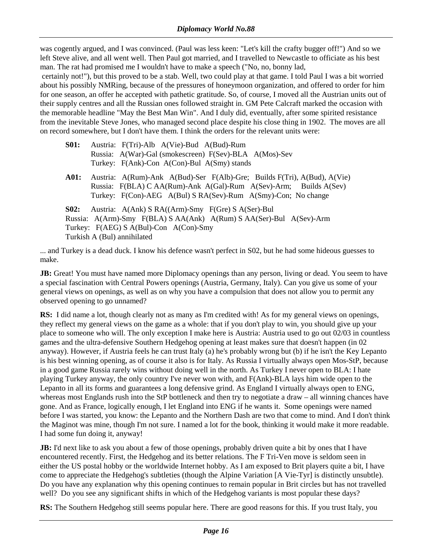was cogently argued, and I was convinced. (Paul was less keen: "Let's kill the crafty bugger off!") And so we left Steve alive, and all went well. Then Paul got married, and I travelled to Newcastle to officiate as his best man. The rat had promised me I wouldn't have to make a speech ("No, no, bonny lad,

 certainly not!"), but this proved to be a stab. Well, two could play at that game. I told Paul I was a bit worried about his possibly NMRing, because of the pressures of honeymoon organization, and offered to order for him for one season, an offer he accepted with pathetic gratitude. So, of course, I moved all the Austrian units out of their supply centres and all the Russian ones followed straight in. GM Pete Calcraft marked the occasion with the memorable headline "May the Best Man Win". And I duly did, eventually, after some spirited resistance from the inevitable Steve Jones, who managed second place despite his close thing in 1902. The moves are all on record somewhere, but I don't have them. I think the orders for the relevant units were:

- **S01:** Austria: F(Tri)-Alb A(Vie)-Bud A(Bud)-Rum Russia: A(War)-Gal (smokescreen) F(Sev)-BLA A(Mos)-Sev Turkey: F(Ank)-Con A(Con)-Bul A(Smy) stands
- **A01:** Austria: A(Rum)-Ank A(Bud)-Ser F(Alb)-Gre; Builds F(Tri), A(Bud), A(Vie) Russia: F(BLA) C AA(Rum)-Ank A(Gal)-Rum A(Sev)-Arm; Builds A(Sev) Turkey: F(Con)-AEG A(Bul) S RA(Sev)-Rum A(Smy)-Con; No change

**S02:** Austria: A(Ank) S RA((Arm)-Smy F(Gre) S A(Ser)-Bul Russia: A(Arm)-Smy F(BLA) S AA(Ank) A(Rum) S AA(Ser)-Bul A(Sev)-Arm Turkey: F(AEG) S A(Bul)-Con A(Con)-Smy Turkish A (Bul) annihilated

... and Turkey is a dead duck. I know his defence wasn't perfect in S02, but he had some hideous guesses to make.

**JB:** Great! You must have named more Diplomacy openings than any person, living or dead. You seem to have a special fascination with Central Powers openings (Austria, Germany, Italy). Can you give us some of your general views on openings, as well as on why you have a compulsion that does not allow you to permit any observed opening to go unnamed?

**RS:** I did name a lot, though clearly not as many as I'm credited with! As for my general views on openings, they reflect my general views on the game as a whole: that if you don't play to win, you should give up your place to someone who will. The only exception I make here is Austria: Austria used to go out 02/03 in countless games and the ultra-defensive Southern Hedgehog opening at least makes sure that doesn't happen (in 02 anyway). However, if Austria feels he can trust Italy (a) he's probably wrong but (b) if he isn't the Key Lepanto is his best winning opening, as of course it also is for Italy. As Russia I virtually always open Mos-StP, because in a good game Russia rarely wins without doing well in the north. As Turkey I never open to BLA: I hate playing Turkey anyway, the only country I've never won with, and F(Ank)-BLA lays him wide open to the Lepanto in all its forms and guarantees a long defensive grind. As England I virtually always open to ENG, whereas most Englands rush into the StP bottleneck and then try to negotiate a draw – all winning chances have gone. And as France, logically enough, I let England into ENG if he wants it. Some openings were named before I was started, you know: the Lepanto and the Northern Dash are two that come to mind. And I don't think the Maginot was mine, though I'm not sure. I named a lot for the book, thinking it would make it more readable. I had some fun doing it, anyway!

**JB:** I'd next like to ask you about a few of those openings, probably driven quite a bit by ones that I have encountered recently. First, the Hedgehog and its better relations. The F Tri-Ven move is seldom seen in either the US postal hobby or the worldwide Internet hobby. As I am exposed to Brit players quite a bit, I have come to appreciate the Hedgehog's subtleties (though the Alpine Variation [A Vie-Tyr] is distinctly unsubtle). Do you have any explanation why this opening continues to remain popular in Brit circles but has not travelled well? Do you see any significant shifts in which of the Hedgehog variants is most popular these days?

**RS:** The Southern Hedgehog still seems popular here. There are good reasons for this. If you trust Italy, you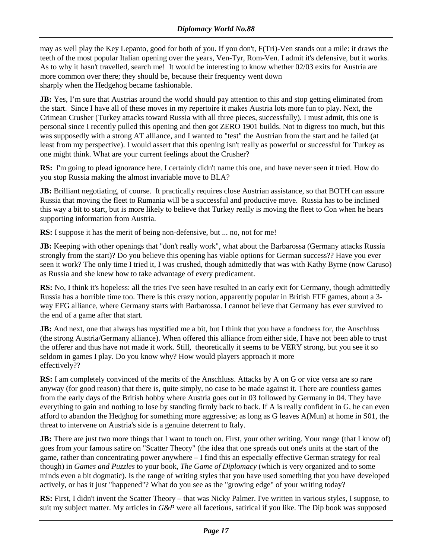may as well play the Key Lepanto, good for both of you. If you don't, F(Tri)-Ven stands out a mile: it draws the teeth of the most popular Italian opening over the years, Ven-Tyr, Rom-Ven. I admit it's defensive, but it works. As to why it hasn't travelled, search me! It would be interesting to know whether 02/03 exits for Austria are more common over there; they should be, because their frequency went down sharply when the Hedgehog became fashionable.

**JB:** Yes, I'm sure that Austrias around the world should pay attention to this and stop getting eliminated from the start. Since I have all of these moves in my repertoire it makes Austria lots more fun to play. Next, the Crimean Crusher (Turkey attacks toward Russia with all three pieces, successfully). I must admit, this one is personal since I recently pulled this opening and then got ZERO 1901 builds. Not to digress too much, but this was supposedly with a strong AT alliance, and I wanted to "test" the Austrian from the start and he failed (at least from my perspective). I would assert that this opening isn't really as powerful or successful for Turkey as one might think. What are your current feelings about the Crusher?

**RS:** I'm going to plead ignorance here. I certainly didn't name this one, and have never seen it tried. How do you stop Russia making the almost invariable move to BLA?

**JB:** Brilliant negotiating, of course. It practically requires close Austrian assistance, so that BOTH can assure Russia that moving the fleet to Rumania will be a successful and productive move. Russia has to be inclined this way a bit to start, but is more likely to believe that Turkey really is moving the fleet to Con when he hears supporting information from Austria.

**RS:** I suppose it has the merit of being non-defensive, but ... no, not for me!

**JB:** Keeping with other openings that "don't really work", what about the Barbarossa (Germany attacks Russia strongly from the start)? Do you believe this opening has viable options for German success?? Have you ever seen it work? The only time I tried it, I was crushed, though admittedly that was with Kathy Byrne (now Caruso) as Russia and she knew how to take advantage of every predicament.

**RS:** No, I think it's hopeless: all the tries I've seen have resulted in an early exit for Germany, though admittedly Russia has a horrible time too. There is this crazy notion, apparently popular in British FTF games, about a 3 way EFG alliance, where Germany starts with Barbarossa. I cannot believe that Germany has ever survived to the end of a game after that start.

**JB:** And next, one that always has mystified me a bit, but I think that you have a fondness for, the Anschluss (the strong Austria/Germany alliance). When offered this alliance from either side, I have not been able to trust the offerer and thus have not made it work. Still, theoretically it seems to be VERY strong, but you see it so seldom in games I play. Do you know why? How would players approach it more effectively??

**RS:** I am completely convinced of the merits of the Anschluss. Attacks by A on G or vice versa are so rare anyway (for good reason) that there is, quite simply, no case to be made against it. There are countless games from the early days of the British hobby where Austria goes out in 03 followed by Germany in 04. They have everything to gain and nothing to lose by standing firmly back to back. If A is really confident in G, he can even afford to abandon the Hedghog for something more aggressive; as long as G leaves A(Mun) at home in S01, the threat to intervene on Austria's side is a genuine deterrent to Italy.

**JB:** There are just two more things that I want to touch on. First, your other writing. Your range (that I know of) goes from your famous satire on "Scatter Theory" (the idea that one spreads out one's units at the start of the game, rather than concentrating power anywhere – I find this an especially effective German strategy for real though) in *Games and Puzzles* to your book, *The Game of Diplomacy* (which is very organized and to some minds even a bit dogmatic). Is the range of writing styles that you have used something that you have developed actively, or has it just "happened"? What do you see as the "growing edge" of your writing today?

**RS:** First, I didn't invent the Scatter Theory – that was Nicky Palmer. I've written in various styles, I suppose, to suit my subject matter. My articles in *G&P* were all facetious, satirical if you like. The Dip book was supposed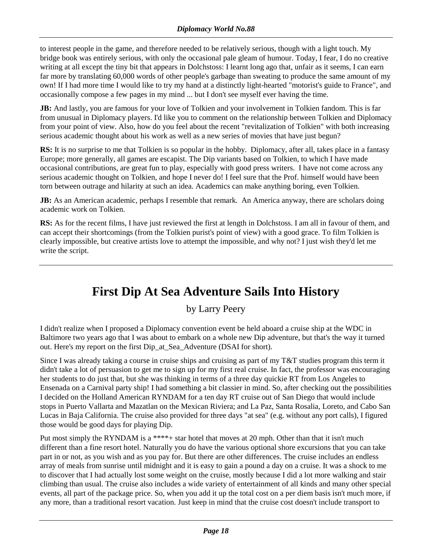<span id="page-17-0"></span>to interest people in the game, and therefore needed to be relatively serious, though with a light touch. My bridge book was entirely serious, with only the occasional pale gleam of humour. Today, I fear, I do no creative writing at all except the tiny bit that appears in Dolchstoss: I learnt long ago that, unfair as it seems, I can earn far more by translating 60,000 words of other people's garbage than sweating to produce the same amount of my own! If I had more time I would like to try my hand at a distinctly light-hearted "motorist's guide to France", and occasionally compose a few pages in my mind ... but I don't see myself ever having the time.

**JB:** And lastly, you are famous for your love of Tolkien and your involvement in Tolkien fandom. This is far from unusual in Diplomacy players. I'd like you to comment on the relationship between Tolkien and Diplomacy from your point of view. Also, how do you feel about the recent "revitalization of Tolkien" with both increasing serious academic thought about his work as well as a new series of movies that have just begun?

**RS:** It is no surprise to me that Tolkien is so popular in the hobby. Diplomacy, after all, takes place in a fantasy Europe; more generally, all games are escapist. The Dip variants based on Tolkien, to which I have made occasional contributions, are great fun to play, especially with good press writers. I have not come across any serious academic thought on Tolkien, and hope I never do! I feel sure that the Prof. himself would have been torn between outrage and hilarity at such an idea. Academics can make anything boring, even Tolkien.

**JB:** As an American academic, perhaps I resemble that remark. An America anyway, there are scholars doing academic work on Tolkien.

**RS:** As for the recent films, I have just reviewed the first at length in Dolchstoss. I am all in favour of them, and can accept their shortcomings (from the Tolkien purist's point of view) with a good grace. To film Tolkien is clearly impossible, but creative artists love to attempt the impossible, and why not? I just wish they'd let me write the script.

# **First Dip At Sea Adventure Sails Into History**

by Larry Peery

I didn't realize when I proposed a Diplomacy convention event be held aboard a cruise ship at the WDC in Baltimore two years ago that I was about to embark on a whole new Dip adventure, but that's the way it turned out. Here's my report on the first Dip\_at\_Sea\_Adventure (DSAI for short).

Since I was already taking a course in cruise ships and cruising as part of my T&T studies program this term it didn't take a lot of persuasion to get me to sign up for my first real cruise. In fact, the professor was encouraging her students to do just that, but she was thinking in terms of a three day quickie RT from Los Angeles to Ensenada on a Carnival party ship! I had something a bit classier in mind. So, after checking out the possibilities I decided on the Holland American RYNDAM for a ten day RT cruise out of San Diego that would include stops in Puerto Vallarta and Mazatlan on the Mexican Riviera; and La Paz, Santa Rosalia, Loreto, and Cabo San Lucas in Baja California. The cruise also provided for three days "at sea" (e.g. without any port calls), I figured those would be good days for playing Dip.

Put most simply the RYNDAM is a \*\*\*\*+ star hotel that moves at 20 mph. Other than that it isn't much different than a fine resort hotel. Naturally you do have the various optional shore excursions that you can take part in or not, as you wish and as you pay for. But there are other differences. The cruise includes an endless array of meals from sunrise until midnight and it is easy to gain a pound a day on a cruise. It was a shock to me to discover that I had actually lost some weight on the cruise, mostly because I did a lot more walking and stair climbing than usual. The cruise also includes a wide variety of entertainment of all kinds and many other special events, all part of the package price. So, when you add it up the total cost on a per diem basis isn't much more, if any more, than a traditional resort vacation. Just keep in mind that the cruise cost doesn't include transport to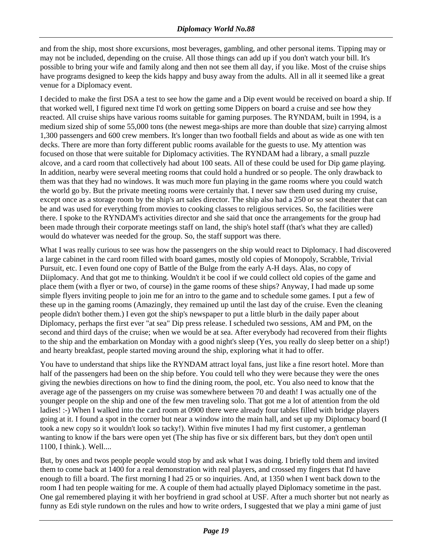and from the ship, most shore excursions, most beverages, gambling, and other personal items. Tipping may or may not be included, depending on the cruise. All those things can add up if you don't watch your bill. It's possible to bring your wife and family along and then not see them all day, if you like. Most of the cruise ships have programs designed to keep the kids happy and busy away from the adults. All in all it seemed like a great venue for a Diplomacy event.

I decided to make the first DSA a test to see how the game and a Dip event would be received on board a ship. If that worked well, I figured next time I'd work on getting some Dippers on board a cruise and see how they reacted. All cruise ships have various rooms suitable for gaming purposes. The RYNDAM, built in 1994, is a medium sized ship of some 55,000 tons (the newest mega-ships are more than double that size) carrying almost 1,300 passengers and 600 crew members. It's longer than two football fields and about as wide as one with ten decks. There are more than forty different public rooms available for the guests to use. My attention was focused on those that were suitable for Diplomacy activities. The RYNDAM had a library, a small puzzle alcove, and a card room that collectively had about 100 seats. All of these could be used for Dip game playing. In addition, nearby were several meeting rooms that could hold a hundred or so people. The only drawback to them was that they had no windows. It was much more fun playing in the game rooms where you could watch the world go by. But the private meeting rooms were certainly that. I never saw them used during my cruise, except once as a storage room by the ship's art sales director. The ship also had a 250 or so seat theater that can be and was used for everything from movies to cooking classes to religious services. So, the facilities were there. I spoke to the RYNDAM's activities director and she said that once the arrangements for the group had been made through their corporate meetings staff on land, the ship's hotel staff (that's what they are called) would do whatever was needed for the group. So, the staff support was there.

What I was really curious to see was how the passengers on the ship would react to Diplomacy. I had discovered a large cabinet in the card room filled with board games, mostly old copies of Monopoly, Scrabble, Trivial Pursuit, etc. I even found one copy of Battle of the Bulge from the early A-H days. Alas, no copy of Diiplomacy. And that got me to thinking. Wouldn't it be cool if we could collect old copies of the game and place them (with a flyer or two, of course) in the game rooms of these ships? Anyway, I had made up some simple flyers inviting people to join me for an intro to the game and to schedule some games. I put a few of these up in the gaming rooms (Amazingly, they remained up until the last day of the cruise. Even the cleaning people didn't bother them.) I even got the ship's newspaper to put a little blurb in the daily paper about Diplomacy, perhaps the first ever "at sea" Dip press release. I scheduled two sessions, AM and PM, on the second and third days of the cruise; when we would be at sea. After everybody had recovered from their flights to the ship and the embarkation on Monday with a good night's sleep (Yes, you really do sleep better on a ship!) and hearty breakfast, people started moving around the ship, exploring what it had to offer.

You have to understand that ships like the RYNDAM attract loyal fans, just like a fine resort hotel. More than half of the passengers had been on the ship before. You could tell who they were because they were the ones giving the newbies directions on how to find the dining room, the pool, etc. You also need to know that the average age of the passengers on my cruise was somewhere between 70 and death! I was actually one of the younger people on the ship and one of the few men traveling solo. That got me a lot of attention from the old ladies! :-) When I walked into the card room at 0900 there were already four tables filled with bridge players going at it. I found a spot in the corner but near a window into the main hall, and set up my Diplomacy board (I took a new copy so it wouldn't look so tacky!). Within five minutes I had my first customer, a gentleman wanting to know if the bars were open yet (The ship has five or six different bars, but they don't open until 1100, I think.). Well....

But, by ones and twos people people would stop by and ask what I was doing. I briefly told them and invited them to come back at 1400 for a real demonstration with real players, and crossed my fingers that I'd have enough to fill a board. The first morning I had 25 or so inquiries. And, at 1350 when I went back down to the room I had ten people waiting for me. A couple of them had actually played Diplomacy sometime in the past. One gal remembered playing it with her boyfriend in grad school at USF. After a much shorter but not nearly as funny as Edi style rundown on the rules and how to write orders, I suggested that we play a mini game of just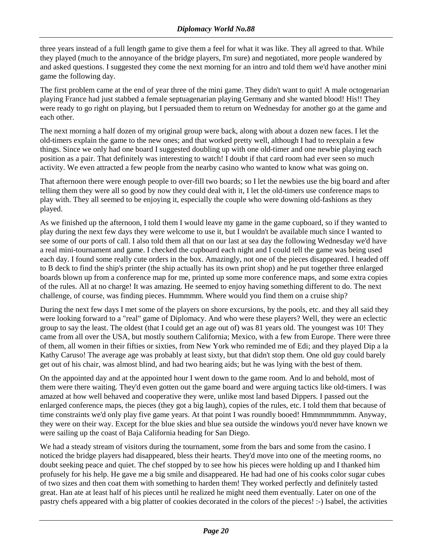three years instead of a full length game to give them a feel for what it was like. They all agreed to that. While they played (much to the annoyance of the bridge players, I'm sure) and negotiated, more people wandered by and asked questions. I suggested they come the next morning for an intro and told them we'd have another mini game the following day.

The first problem came at the end of year three of the mini game. They didn't want to quit! A male octogenarian playing France had just stabbed a female septuagenarian playing Germany and she wanted blood! His!! They were ready to go right on playing, but I persuaded them to return on Wednesday for another go at the game and each other.

The next morning a half dozen of my original group were back, along with about a dozen new faces. I let the old-timers explain the game to the new ones; and that worked pretty well, although I had to reexplain a few things. Since we only had one board I suggested doubling up with one old-timer and one newbie playing each position as a pair. That definitely was interesting to watch! I doubt if that card room had ever seen so much activity. We even attracted a few people from the nearby casino who wanted to know what was going on.

That afternoon there were enough people to over-fill two boards; so I let the newbies use the big board and after telling them they were all so good by now they could deal with it, I let the old-timers use conference maps to play with. They all seemed to be enjoying it, especially the couple who were downing old-fashions as they played.

As we finished up the afternoon, I told them I would leave my game in the game cupboard, so if they wanted to play during the next few days they were welcome to use it, but I wouldn't be available much since I wanted to see some of our ports of call. I also told them all that on our last at sea day the following Wednesday we'd have a real mini-tournament and game. I checked the cupboard each night and I could tell the game was being used each day. I found some really cute orders in the box. Amazingly, not one of the pieces disappeared. I headed off to B deck to find the ship's printer (the ship actually has its own print shop) and he put together three enlarged boards blown up from a conference map for me, printed up some more conference maps, and some extra copies of the rules. All at no charge! It was amazing. He seemed to enjoy having something different to do. The next challenge, of course, was finding pieces. Hummmm. Where would you find them on a cruise ship?

During the next few days I met some of the players on shore excursions, by the pools, etc. and they all said they were looking forward to a "real" game of Diplomacy. And who were these players? Well, they were an eclectic group to say the least. The oldest (that I could get an age out of) was 81 years old. The youngest was 10! They came from all over the USA, but mostly southern California; Mexico, with a few from Europe. There were three of them, all women in their fifties or sixties, from New York who reminded me of Edi; and they played Dip a la Kathy Caruso! The average age was probably at least sixty, but that didn't stop them. One old guy could barely get out of his chair, was almost blind, and had two hearing aids; but he was lying with the best of them.

On the appointed day and at the appointed hour I went down to the game room. And lo and behold, most of them were there waiting. They'd even gotten out the game board and were arguing tactics like old-timers. I was amazed at how well behaved and cooperative they were, unlike most land based Dippers. I passed out the enlarged conference maps, the pieces (they got a big laugh), copies of the rules, etc. I told them that because of time constraints we'd only play five game years. At that point I was roundly booed! Hmmmmmmmm. Anyway, they were on their way. Except for the blue skies and blue sea outside the windows you'd never have known we were sailing up the coast of Baja California heading for San Diego.

We had a steady stream of visitors during the tournament, some from the bars and some from the casino. I noticed the bridge players had disappeared, bless their hearts. They'd move into one of the meeting rooms, no doubt seeking peace and quiet. The chef stopped by to see how his pieces were holding up and I thanked him profusely for his help. He gave me a big smile and disappeared. He had had one of his cooks color sugar cubes of two sizes and then coat them with something to harden them! They worked perfectly and definitely tasted great. Han ate at least half of his pieces until he realized he might need them eventually. Later on one of the pastry chefs appeared with a big platter of cookies decorated in the colors of the pieces! :-) Isabel, the activities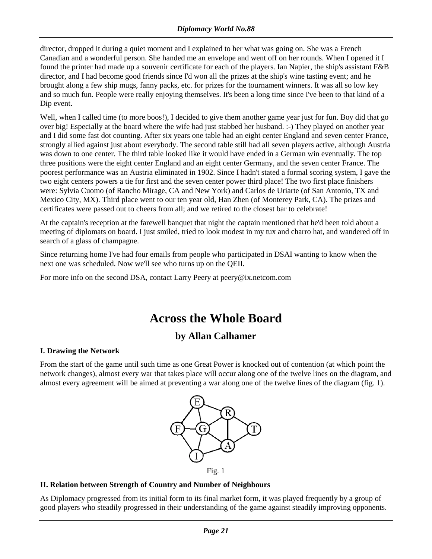<span id="page-20-0"></span>director, dropped it during a quiet moment and I explained to her what was going on. She was a French Canadian and a wonderful person. She handed me an envelope and went off on her rounds. When I opened it I found the printer had made up a souvenir certificate for each of the players. Ian Napier, the ship's assistant F&B director, and I had become good friends since I'd won all the prizes at the ship's wine tasting event; and he brought along a few ship mugs, fanny packs, etc. for prizes for the tournament winners. It was all so low key and so much fun. People were really enjoying themselves. It's been a long time since I've been to that kind of a Dip event.

Well, when I called time (to more boos!), I decided to give them another game year just for fun. Boy did that go over big! Especially at the board where the wife had just stabbed her husband. :-) They played on another year and I did some fast dot counting. After six years one table had an eight center England and seven center France, strongly allied against just about everybody. The second table still had all seven players active, although Austria was down to one center. The third table looked like it would have ended in a German win eventually. The top three positions were the eight center England and an eight center Germany, and the seven center France. The poorest performance was an Austria eliminated in 1902. Since I hadn't stated a formal scoring system, I gave the two eight centers powers a tie for first and the seven center power third place! The two first place finishers were: Sylvia Cuomo (of Rancho Mirage, CA and New York) and Carlos de Uriarte (of San Antonio, TX and Mexico City, MX). Third place went to our ten year old, Han Zhen (of Monterey Park, CA). The prizes and certificates were passed out to cheers from all; and we retired to the closest bar to celebrate!

At the captain's reception at the farewell banquet that night the captain mentioned that he'd been told about a meeting of diplomats on board. I just smiled, tried to look modest in my tux and charro hat, and wandered off in search of a glass of champagne.

Since returning home I've had four emails from people who participated in DSAI wanting to know when the next one was scheduled. Now we'll see who turns up on the QEII.

For more info on the second DSA, contact Larry Peery at peery@ix.netcom.com

# **Across the Whole Board**

## **by Allan Calhamer**

#### **I. Drawing the Network**

From the start of the game until such time as one Great Power is knocked out of contention (at which point the network changes), almost every war that takes place will occur along one of the twelve lines on the diagram, and almost every agreement will be aimed at preventing a war along one of the twelve lines of the diagram (fig. 1).



#### **II. Relation between Strength of Country and Number of Neighbours**

As Diplomacy progressed from its initial form to its final market form, it was played frequently by a group of good players who steadily progressed in their understanding of the game against steadily improving opponents.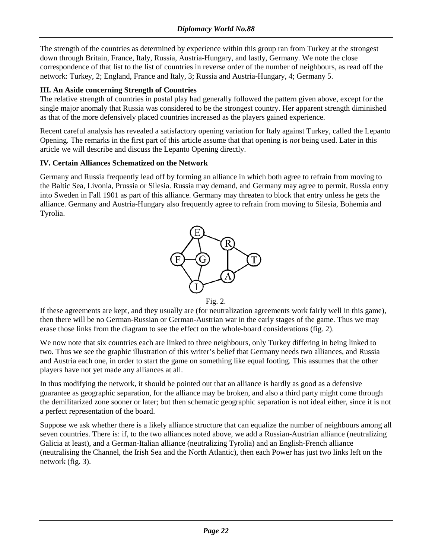The strength of the countries as determined by experience within this group ran from Turkey at the strongest down through Britain, France, Italy, Russia, Austria-Hungary, and lastly, Germany. We note the close correspondence of that list to the list of countries in reverse order of the number of neighbours, as read off the network: Turkey, 2; England, France and Italy, 3; Russia and Austria-Hungary, 4; Germany 5.

#### **III. An Aside concerning Strength of Countries**

The relative strength of countries in postal play had generally followed the pattern given above, except for the single major anomaly that Russia was considered to be the strongest country. Her apparent strength diminished as that of the more defensively placed countries increased as the players gained experience.

Recent careful analysis has revealed a satisfactory opening variation for Italy against Turkey, called the Lepanto Opening. The remarks in the first part of this article assume that that opening is *not* being used. Later in this article we will describe and discuss the Lepanto Opening directly.

### **IV. Certain Alliances Schematized on the Network**

Germany and Russia frequently lead off by forming an alliance in which both agree to refrain from moving to the Baltic Sea, Livonia, Prussia or Silesia. Russia may demand, and Germany may agree to permit, Russia entry into Sweden in Fall 1901 as part of this alliance. Germany may threaten to block that entry unless he gets the alliance. Germany and Austria-Hungary also frequently agree to refrain from moving to Silesia, Bohemia and Tyrolia.



Fig. 2.

If these agreements are kept, and they usually are (for neutralization agreements work fairly well in this game), then there will be no German-Russian or German-Austrian war in the early stages of the game. Thus we may erase those links from the diagram to see the effect on the whole-board considerations (fig. 2).

We now note that six countries each are linked to three neighbours, only Turkey differing in being linked to two. Thus we see the graphic illustration of this writer's belief that Germany needs two alliances, and Russia and Austria each one, in order to start the game on something like equal footing. This assumes that the other players have not yet made any alliances at all.

In thus modifying the network, it should be pointed out that an alliance is hardly as good as a defensive guarantee as geographic separation, for the alliance may be broken, and also a third party might come through the demilitarized zone sooner or later; but then schematic geographic separation is not ideal either, since it is not a perfect representation of the board.

Suppose we ask whether there is a likely alliance structure that can equalize the number of neighbours among all seven countries. There is: if, to the two alliances noted above, we add a Russian-Austrian alliance (neutralizing Galicia at least), and a German-Italian alliance (neutralizing Tyrolia) and an English-French alliance (neutralising the Channel, the Irish Sea and the North Atlantic), then each Power has just two links left on the network (fig. 3).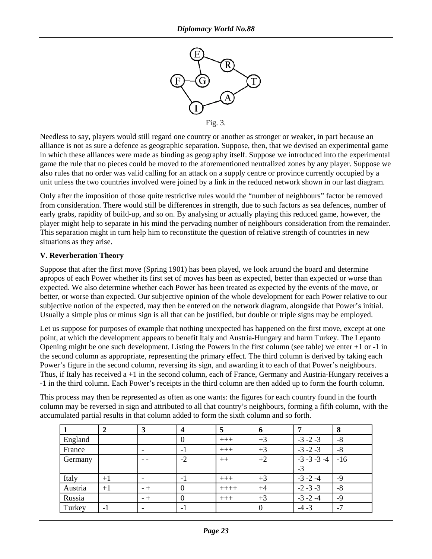

Needless to say, players would still regard one country or another as stronger or weaker, in part because an alliance is not as sure a defence as geographic separation. Suppose, then, that we devised an experimental game in which these alliances were made as binding as geography itself. Suppose we introduced into the experimental game the rule that no pieces could be moved to the aforementioned neutralized zones by any player. Suppose we also rules that no order was valid calling for an attack on a supply centre or province currently occupied by a unit unless the two countries involved were joined by a link in the reduced network shown in our last diagram.

Only after the imposition of those quite restrictive rules would the "number of neighbours" factor be removed from consideration. There would still be differences in strength, due to such factors as sea defences, number of early grabs, rapidity of build-up, and so on. By analysing or actually playing this reduced game, however, the player might help to separate in his mind the pervading number of neighbours consideration from the remainder. This separation might in turn help him to reconstitute the question of relative strength of countries in new situations as they arise.

#### **V. Reverberation Theory**

Suppose that after the first move (Spring 1901) has been played, we look around the board and determine apropos of each Power whether its first set of moves has been as expected, better than expected or worse than expected. We also determine whether each Power has been treated as expected by the events of the move, or better, or worse than expected. Our subjective opinion of the whole development for each Power relative to our subjective notion of the expected, may then be entered on the network diagram, alongside that Power's initial. Usually a simple plus or minus sign is all that can be justified, but double or triple signs may be employed.

Let us suppose for purposes of example that nothing unexpected has happened on the first move, except at one point, at which the development appears to benefit Italy and Austria-Hungary and harm Turkey. The Lepanto Opening might be one such development. Listing the Powers in the first column (see table) we enter +1 or -1 in the second column as appropriate, representing the primary effect. The third column is derived by taking each Power's figure in the second column, reversing its sign, and awarding it to each of that Power's neighbours. Thus, if Italy has received a +1 in the second column, each of France, Germany and Austria-Hungary receives a -1 in the third column. Each Power's receipts in the third column are then added up to form the fourth column.

This process may then be represented as often as one wants: the figures for each country found in the fourth column may be reversed in sign and attributed to all that country's neighbours, forming a fifth column, with the accumulated partial results in that column added to form the sixth column and so forth.

|         |      | 3   | $\boldsymbol{4}$ | 5       | 6        | 7                | 8              |
|---------|------|-----|------------------|---------|----------|------------------|----------------|
| England |      |     | 0                | $+++$   | $+3$     | $-3 - 2 - 3$     | $-8$           |
| France  |      |     | $-1$             | $+++$   | $+3$     | $-3 - 2 - 3$     | $-8$           |
| Germany |      |     | $-2$             | $++$    | $+2$     | $-3 - 3 - 3 - 4$ | $-16$          |
|         |      |     |                  |         |          | $-3$             |                |
| Italy   | $+1$ |     | $-1$             | $+++$   | $+3$     | $-3 - 2 - 4$     | -9             |
| Austria | $+1$ | - + |                  | $+++++$ | $+4$     | $-2 - 3 - 3$     | $-8$           |
| Russia  |      | - + |                  | $+++$   | $+3$     | $-3 - 2 - 4$     | $-9$           |
| Turkey  | $-1$ |     | $-1$             |         | $\theta$ | $-4 - 3$         | $\overline{a}$ |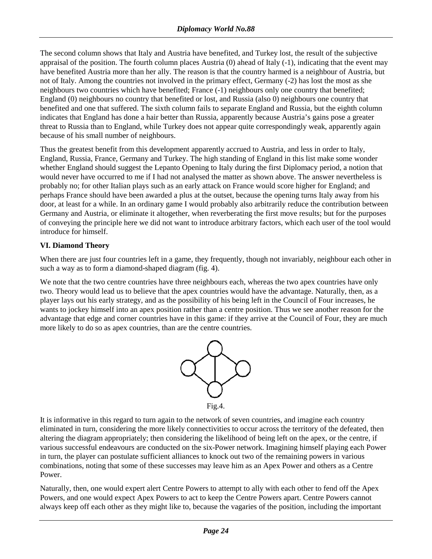The second column shows that Italy and Austria have benefited, and Turkey lost, the result of the subjective appraisal of the position. The fourth column places Austria (0) ahead of Italy (-1), indicating that the event may have benefited Austria more than her ally. The reason is that the country harmed is a neighbour of Austria, but not of Italy. Among the countries not involved in the primary effect, Germany (-2) has lost the most as she neighbours two countries which have benefited; France (-1) neighbours only one country that benefited; England (0) neighbours no country that benefited or lost, and Russia (also 0) neighbours one country that benefited and one that suffered. The sixth column fails to separate England and Russia, but the eighth column indicates that England has done a hair better than Russia, apparently because Austria's gains pose a greater threat to Russia than to England, while Turkey does not appear quite correspondingly weak, apparently again because of his small number of neighbours.

Thus the greatest benefit from this development apparently accrued to Austria, and less in order to Italy, England, Russia, France, Germany and Turkey. The high standing of England in this list make some wonder whether England should suggest the Lepanto Opening to Italy during the first Diplomacy period, a notion that would never have occurred to me if I had not analysed the matter as shown above. The answer nevertheless is probably no; for other Italian plays such as an early attack on France would score higher for England; and perhaps France should have been awarded a plus at the outset, because the opening turns Italy away from his door, at least for a while. In an ordinary game I would probably also arbitrarily reduce the contribution between Germany and Austria, or eliminate it altogether, when reverberating the first move results; but for the purposes of conveying the principle here we did not want to introduce arbitrary factors, which each user of the tool would introduce for himself.

### **VI. Diamond Theory**

When there are just four countries left in a game, they frequently, though not invariably, neighbour each other in such a way as to form a diamond-shaped diagram (fig. 4).

We note that the two centre countries have three neighbours each, whereas the two apex countries have only two. Theory would lead us to believe that the apex countries would have the advantage. Naturally, then, as a player lays out his early strategy, and as the possibility of his being left in the Council of Four increases, he wants to jockey himself into an apex position rather than a centre position. Thus we see another reason for the advantage that edge and corner countries have in this game: if they arrive at the Council of Four, they are much more likely to do so as apex countries, than are the centre countries.



It is informative in this regard to turn again to the network of seven countries, and imagine each country eliminated in turn, considering the more likely connectivities to occur across the territory of the defeated, then altering the diagram appropriately; then considering the likelihood of being left on the apex, or the centre, if various successful endeavours are conducted on the six-Power network. Imagining himself playing each Power in turn, the player can postulate sufficient alliances to knock out two of the remaining powers in various combinations, noting that some of these successes may leave him as an Apex Power and others as a Centre Power.

Naturally, then, one would expert alert Centre Powers to attempt to ally with each other to fend off the Apex Powers, and one would expect Apex Powers to act to keep the Centre Powers apart. Centre Powers cannot always keep off each other as they might like to, because the vagaries of the position, including the important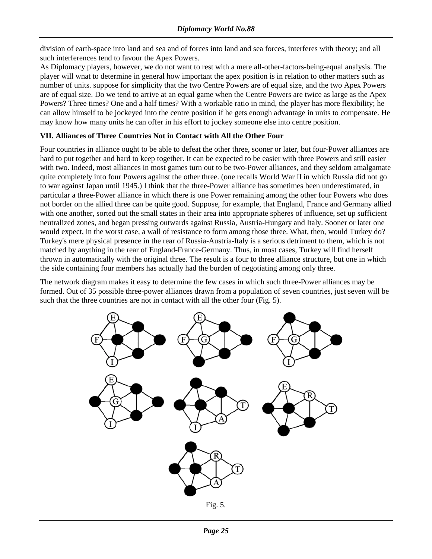division of earth-space into land and sea and of forces into land and sea forces, interferes with theory; and all such interferences tend to favour the Apex Powers.

As Diplomacy players, however, we do not want to rest with a mere all-other-factors-being-equal analysis. The player will wnat to determine in general how important the apex position is in relation to other matters such as number of units. suppose for simplicity that the two Centre Powers are of equal size, and the two Apex Powers are of equal size. Do we tend to arrive at an equal game when the Centre Powers are twice as large as the Apex Powers? Three times? One and a half times? With a workable ratio in mind, the player has more flexibility; he can allow himself to be jockeyed into the centre position if he gets enough advantage in units to compensate. He may know how many units he can offer in his effort to jockey someone else into centre position.

### **VII. Alliances of Three Countries Not in Contact with All the Other Four**

Four countries in alliance ought to be able to defeat the other three, sooner or later, but four-Power alliances are hard to put together and hard to keep together. It can be expected to be easier with three Powers and still easier with two. Indeed, most alliances in most games turn out to be two-Power alliances, and they seldom amalgamate quite completely into four Powers against the other three. (one recalls World War II in which Russia did not go to war against Japan until 1945.) I think that the three-Power alliance has sometimes been underestimated, in particular a three-Power alliance in which there is one Power remaining among the other four Powers who does not border on the allied three can be quite good. Suppose, for example, that England, France and Germany allied with one another, sorted out the small states in their area into appropriate spheres of influence, set up sufficient neutralized zones, and began pressing outwards against Russia, Austria-Hungary and Italy. Sooner or later one would expect, in the worst case, a wall of resistance to form among those three. What, then, would Turkey do? Turkey's mere physical presence in the rear of Russia-Austria-Italy is a serious detriment to them, which is not matched by anything in the rear of England-France-Germany. Thus, in most cases, Turkey will find herself thrown in automatically with the original three. The result is a four to three alliance structure, but one in which the side containing four members has actually had the burden of negotiating among only three.

The network diagram makes it easy to determine the few cases in which such three-Power alliances may be formed. Out of 35 possible three-power alliances drawn from a population of seven countries, just seven will be such that the three countries are not in contact with all the other four (Fig. 5).

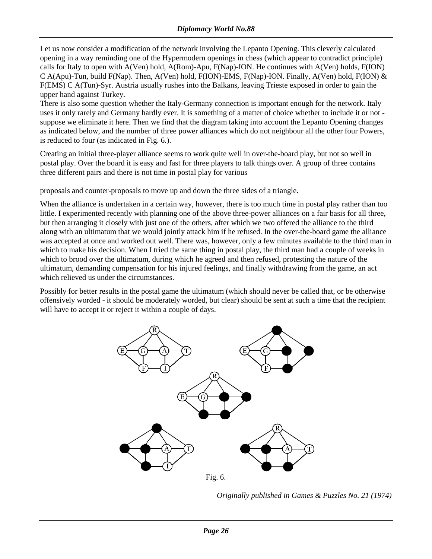Let us now consider a modification of the network involving the Lepanto Opening. This cleverly calculated opening in a way reminding one of the Hypermodern openings in chess (which appear to contradict principle) calls for Italy to open with A(Ven) hold, A(Rom)-Apu, F(Nap)-ION. He continues with A(Ven) holds, F(ION) C A(Apu)-Tun, build F(Nap). Then, A(Ven) hold, F(ION)-EMS, F(Nap)-ION. Finally, A(Ven) hold, F(ION) & F(EMS) C A(Tun)-Syr. Austria usually rushes into the Balkans, leaving Trieste exposed in order to gain the upper hand against Turkey.

There is also some question whether the Italy-Germany connection is important enough for the network. Italy uses it only rarely and Germany hardly ever. It is something of a matter of choice whether to include it or not suppose we eliminate it here. Then we find that the diagram taking into account the Lepanto Opening changes as indicated below, and the number of three power alliances which do not neighbour all the other four Powers, is reduced to four (as indicated in Fig. 6.).

Creating an initial three-player alliance seems to work quite well in over-the-board play, but not so well in postal play. Over the board it is easy and fast for three players to talk things over. A group of three contains three different pairs and there is not time in postal play for various

proposals and counter-proposals to move up and down the three sides of a triangle.

When the alliance is undertaken in a certain way, however, there is too much time in postal play rather than too little. I experimented recently with planning one of the above three-power alliances on a fair basis for all three, but then arranging it closely with just one of the others, after which we two offered the alliance to the third along with an ultimatum that we would jointly attack him if he refused. In the over-the-board game the alliance was accepted at once and worked out well. There was, however, only a few minutes available to the third man in which to make his decision. When I tried the same thing in postal play, the third man had a couple of weeks in which to brood over the ultimatum, during which he agreed and then refused, protesting the nature of the ultimatum, demanding compensation for his injured feelings, and finally withdrawing from the game, an act which relieved us under the circumstances.

Possibly for better results in the postal game the ultimatum (which should never be called that, or be otherwise offensively worded - it should be moderately worded, but clear) should be sent at such a time that the recipient will have to accept it or reject it within a couple of days.



*Originally published in Games & Puzzles No. 21 (1974)*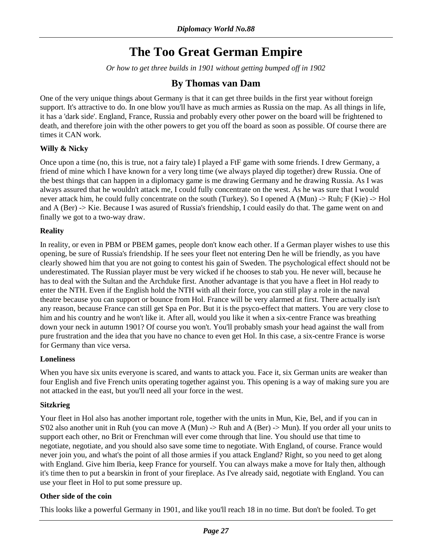# **The Too Great German Empire**

*Or how to get three builds in 1901 without getting bumped off in 1902* 

## **By Thomas van Dam**

<span id="page-26-0"></span>One of the very unique things about Germany is that it can get three builds in the first year without foreign support. It's attractive to do. In one blow you'll have as much armies as Russia on the map. As all things in life, it has a 'dark side'. England, France, Russia and probably every other power on the board will be frightened to death, and therefore join with the other powers to get you off the board as soon as possible. Of course there are times it CAN work.

### **Willy & Nicky**

Once upon a time (no, this is true, not a fairy tale) I played a FtF game with some friends. I drew Germany, a friend of mine which I have known for a very long time (we always played dip together) drew Russia. One of the best things that can happen in a diplomacy game is me drawing Germany and he drawing Russia. As I was always assured that he wouldn't attack me, I could fully concentrate on the west. As he was sure that I would never attack him, he could fully concentrate on the south (Turkey). So I opened A (Mun) -> Ruh; F (Kie) -> Hol and A (Ber) -> Kie. Because I was asured of Russia's friendship, I could easily do that. The game went on and finally we got to a two-way draw.

### **Reality**

In reality, or even in PBM or PBEM games, people don't know each other. If a German player wishes to use this opening, be sure of Russia's friendship. If he sees your fleet not entering Den he will be friendly, as you have clearly showed him that you are not going to contest his gain of Sweden. The psychological effect should not be underestimated. The Russian player must be very wicked if he chooses to stab you. He never will, because he has to deal with the Sultan and the Archduke first. Another advantage is that you have a fleet in Hol ready to enter the NTH. Even if the English hold the NTH with all their force, you can still play a role in the naval theatre because you can support or bounce from Hol. France will be very alarmed at first. There actually isn't any reason, because France can still get Spa en Por. But it is the psyco-effect that matters. You are very close to him and his country and he won't like it. After all, would you like it when a six-centre France was breathing down your neck in autumn 1901? Of course you won't. You'll probably smash your head against the wall from pure frustration and the idea that you have no chance to even get Hol. In this case, a six-centre France is worse for Germany than vice versa.

#### **Loneliness**

When you have six units everyone is scared, and wants to attack you. Face it, six German units are weaker than four English and five French units operating together against you. This opening is a way of making sure you are not attacked in the east, but you'll need all your force in the west.

#### **Sitzkrieg**

Your fleet in Hol also has another important role, together with the units in Mun, Kie, Bel, and if you can in S'02 also another unit in Ruh (you can move A (Mun)  $\rightarrow$  Ruh and A (Ber)  $\rightarrow$  Mun). If you order all your units to support each other, no Brit or Frenchman will ever come through that line. You should use that time to negotiate, negotiate, and you should also save some time to negotiate. With England, of course. France would never join you, and what's the point of all those armies if you attack England? Right, so you need to get along with England. Give him Iberia, keep France for yourself. You can always make a move for Italy then, although it's time then to put a bearskin in front of your fireplace. As I've already said, negotiate with England. You can use your fleet in Hol to put some pressure up.

#### **Other side of the coin**

This looks like a powerful Germany in 1901, and like you'll reach 18 in no time. But don't be fooled. To get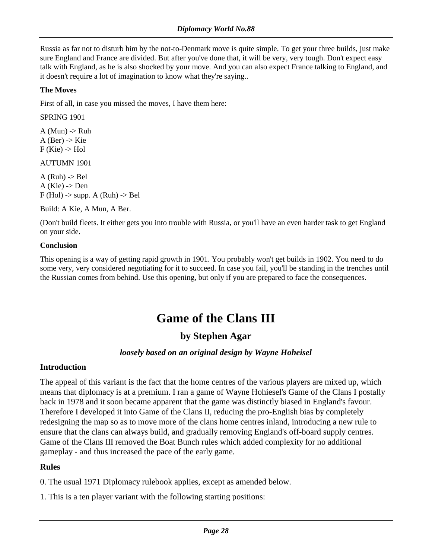<span id="page-27-0"></span>Russia as far not to disturb him by the not-to-Denmark move is quite simple. To get your three builds, just make sure England and France are divided. But after you've done that, it will be very, very tough. Don't expect easy talk with England, as he is also shocked by your move. And you can also expect France talking to England, and it doesn't require a lot of imagination to know what they're saying..

### **The Moves**

First of all, in case you missed the moves, I have them here:

SPRING 1901

 $A$  (Mun)  $\rightarrow$  Ruh  $A$  (Ber)  $\rightarrow$  Kie  $F$  (Kie)  $\rightarrow$  Hol

AUTUMN 1901

 $A$  (Ruh)  $\rightarrow$  Bel  $A$  (Kie)  $\rightarrow$  Den  $F$  (Hol) -> supp. A (Ruh) -> Bel

Build: A Kie, A Mun, A Ber.

(Don't build fleets. It either gets you into trouble with Russia, or you'll have an even harder task to get England on your side.

### **Conclusion**

This opening is a way of getting rapid growth in 1901. You probably won't get builds in 1902. You need to do some very, very considered negotiating for it to succeed. In case you fail, you'll be standing in the trenches until the Russian comes from behind. Use this opening, but only if you are prepared to face the consequences.

# **Game of the Clans III**

## **by Stephen Agar**

## *loosely based on an original design by Wayne Hoheisel*

## **Introduction**

The appeal of this variant is the fact that the home centres of the various players are mixed up, which means that diplomacy is at a premium. I ran a game of Wayne Hohiesel's Game of the Clans I postally back in 1978 and it soon became apparent that the game was distinctly biased in England's favour. Therefore I developed it into Game of the Clans II, reducing the pro-English bias by completely redesigning the map so as to move more of the clans home centres inland, introducing a new rule to ensure that the clans can always build, and gradually removing England's off-board supply centres. Game of the Clans III removed the Boat Bunch rules which added complexity for no additional gameplay - and thus increased the pace of the early game.

## **Rules**

0. The usual 1971 Diplomacy rulebook applies, except as amended below.

1. This is a ten player variant with the following starting positions: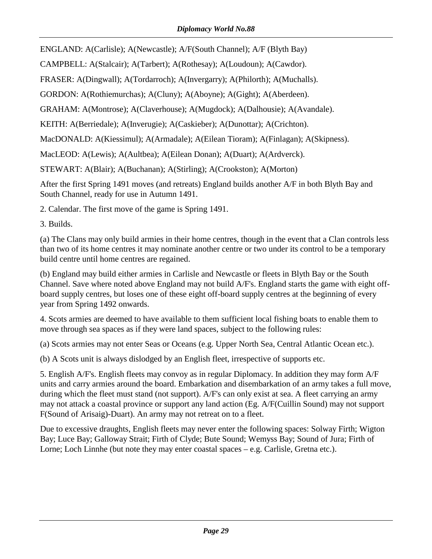ENGLAND: A(Carlisle); A(Newcastle); A/F(South Channel); A/F (Blyth Bay)

CAMPBELL: A(Stalcair); A(Tarbert); A(Rothesay); A(Loudoun); A(Cawdor).

FRASER: A(Dingwall); A(Tordarroch); A(Invergarry); A(Philorth); A(Muchalls).

GORDON: A(Rothiemurchas); A(Cluny); A(Aboyne); A(Gight); A(Aberdeen).

GRAHAM: A(Montrose); A(Claverhouse); A(Mugdock); A(Dalhousie); A(Avandale).

KEITH: A(Berriedale); A(Inverugie); A(Caskieber); A(Dunottar); A(Crichton).

MacDONALD: A(Kiessimul); A(Armadale); A(Eilean Tioram); A(Finlagan); A(Skipness).

MacLEOD: A(Lewis); A(Aultbea); A(Eilean Donan); A(Duart); A(Ardverck).

STEWART: A(Blair); A(Buchanan); A(Stirling); A(Crookston); A(Morton)

After the first Spring 1491 moves (and retreats) England builds another A/F in both Blyth Bay and South Channel, ready for use in Autumn 1491.

2. Calendar. The first move of the game is Spring 1491.

3. Builds.

(a) The Clans may only build armies in their home centres, though in the event that a Clan controls less than two of its home centres it may nominate another centre or two under its control to be a temporary build centre until home centres are regained.

(b) England may build either armies in Carlisle and Newcastle or fleets in Blyth Bay or the South Channel. Save where noted above England may not build A/F's. England starts the game with eight offboard supply centres, but loses one of these eight off-board supply centres at the beginning of every year from Spring 1492 onwards.

4. Scots armies are deemed to have available to them sufficient local fishing boats to enable them to move through sea spaces as if they were land spaces, subject to the following rules:

(a) Scots armies may not enter Seas or Oceans (e.g. Upper North Sea, Central Atlantic Ocean etc.).

(b) A Scots unit is always dislodged by an English fleet, irrespective of supports etc.

5. English A/F's. English fleets may convoy as in regular Diplomacy. In addition they may form A/F units and carry armies around the board. Embarkation and disembarkation of an army takes a full move, during which the fleet must stand (not support). A/F's can only exist at sea. A fleet carrying an army may not attack a coastal province or support any land action (Eg. A/F(Cuillin Sound) may not support F(Sound of Arisaig)-Duart). An army may not retreat on to a fleet.

Due to excessive draughts, English fleets may never enter the following spaces: Solway Firth; Wigton Bay; Luce Bay; Galloway Strait; Firth of Clyde; Bute Sound; Wemyss Bay; Sound of Jura; Firth of Lorne; Loch Linnhe (but note they may enter coastal spaces – e.g. Carlisle, Gretna etc.).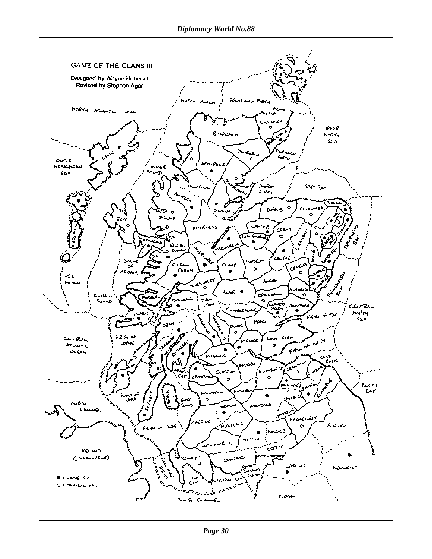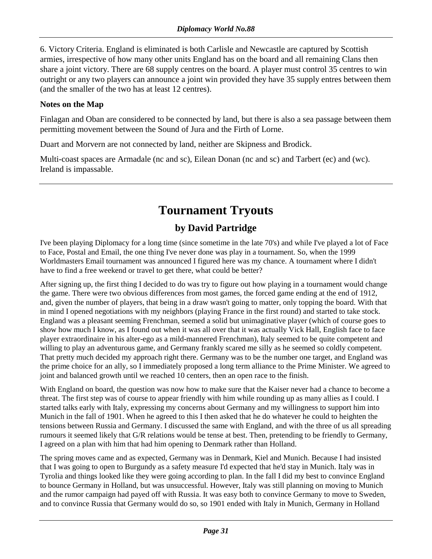<span id="page-30-0"></span>6. Victory Criteria. England is eliminated is both Carlisle and Newcastle are captured by Scottish armies, irrespective of how many other units England has on the board and all remaining Clans then share a joint victory. There are 68 supply centres on the board. A player must control 35 centres to win outright or any two players can announce a joint win provided they have 35 supply entres between them (and the smaller of the two has at least 12 centres).

## **Notes on the Map**

Finlagan and Oban are considered to be connected by land, but there is also a sea passage between them permitting movement between the Sound of Jura and the Firth of Lorne.

Duart and Morvern are not connected by land, neither are Skipness and Brodick.

Multi-coast spaces are Armadale (nc and sc), Eilean Donan (nc and sc) and Tarbert (ec) and (wc). Ireland is impassable.

# **Tournament Tryouts**

# **by David Partridge**

I've been playing Diplomacy for a long time (since sometime in the late 70's) and while I've played a lot of Face to Face, Postal and Email, the one thing I've never done was play in a tournament. So, when the 1999 Worldmasters Email tournament was announced I figured here was my chance. A tournament where I didn't have to find a free weekend or travel to get there, what could be better?

After signing up, the first thing I decided to do was try to figure out how playing in a tournament would change the game. There were two obvious differences from most games, the forced game ending at the end of 1912, and, given the number of players, that being in a draw wasn't going to matter, only topping the board. With that in mind I opened negotiations with my neighbors (playing France in the first round) and started to take stock. England was a pleasant seeming Frenchman, seemed a solid but unimaginative player (which of course goes to show how much I know, as I found out when it was all over that it was actually Vick Hall, English face to face player extraordinaire in his alter-ego as a mild-mannered Frenchman), Italy seemed to be quite competent and willing to play an adventurous game, and Germany frankly scared me silly as he seemed so coldly competent. That pretty much decided my approach right there. Germany was to be the number one target, and England was the prime choice for an ally, so I immediately proposed a long term alliance to the Prime Minister. We agreed to joint and balanced growth until we reached 10 centers, then an open race to the finish.

With England on board, the question was now how to make sure that the Kaiser never had a chance to become a threat. The first step was of course to appear friendly with him while rounding up as many allies as I could. I started talks early with Italy, expressing my concerns about Germany and my willingness to support him into Munich in the fall of 1901. When he agreed to this I then asked that he do whatever he could to heighten the tensions between Russia and Germany. I discussed the same with England, and with the three of us all spreading rumours it seemed likely that G/R relations would be tense at best. Then, pretending to be friendly to Germany, I agreed on a plan with him that had him opening to Denmark rather than Holland.

The spring moves came and as expected, Germany was in Denmark, Kiel and Munich. Because I had insisted that I was going to open to Burgundy as a safety measure I'd expected that he'd stay in Munich. Italy was in Tyrolia and things looked like they were going according to plan. In the fall I did my best to convince England to bounce Germany in Holland, but was unsuccessful. However, Italy was still planning on moving to Munich and the rumor campaign had payed off with Russia. It was easy both to convince Germany to move to Sweden, and to convince Russia that Germany would do so, so 1901 ended with Italy in Munich, Germany in Holland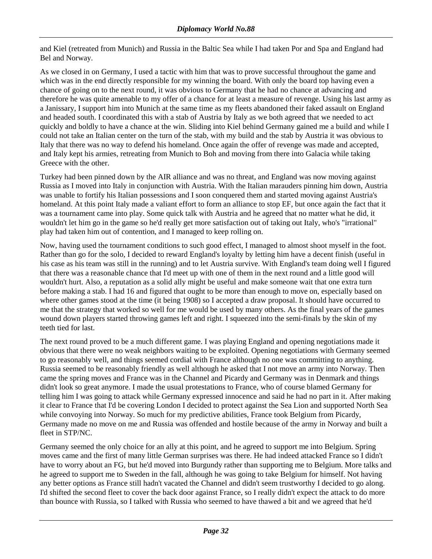and Kiel (retreated from Munich) and Russia in the Baltic Sea while I had taken Por and Spa and England had Bel and Norway.

As we closed in on Germany, I used a tactic with him that was to prove successful throughout the game and which was in the end directly responsible for my winning the board. With only the board top having even a chance of going on to the next round, it was obvious to Germany that he had no chance at advancing and therefore he was quite amenable to my offer of a chance for at least a measure of revenge. Using his last army as a Janissary, I support him into Munich at the same time as my fleets abandoned their faked assault on England and headed south. I coordinated this with a stab of Austria by Italy as we both agreed that we needed to act quickly and boldly to have a chance at the win. Sliding into Kiel behind Germany gained me a build and while I could not take an Italian center on the turn of the stab, with my build and the stab by Austria it was obvious to Italy that there was no way to defend his homeland. Once again the offer of revenge was made and accepted, and Italy kept his armies, retreating from Munich to Boh and moving from there into Galacia while taking Greece with the other.

Turkey had been pinned down by the AIR alliance and was no threat, and England was now moving against Russia as I moved into Italy in conjunction with Austria. With the Italian marauders pinning him down, Austria was unable to fortify his Italian possessions and I soon conquered them and started moving against Austria's homeland. At this point Italy made a valiant effort to form an alliance to stop EF, but once again the fact that it was a tournament came into play. Some quick talk with Austria and he agreed that no matter what he did, it wouldn't let him go in the game so he'd really get more satisfaction out of taking out Italy, who's "irrational" play had taken him out of contention, and I managed to keep rolling on.

Now, having used the tournament conditions to such good effect, I managed to almost shoot myself in the foot. Rather than go for the solo, I decided to reward England's loyalty by letting him have a decent finish (useful in his case as his team was still in the running) and to let Austria survive. With England's team doing well I figured that there was a reasonable chance that I'd meet up with one of them in the next round and a little good will wouldn't hurt. Also, a reputation as a solid ally might be useful and make someone wait that one extra turn before making a stab. I had 16 and figured that ought to be more than enough to move on, especially based on where other games stood at the time (it being 1908) so I accepted a draw proposal. It should have occurred to me that the strategy that worked so well for me would be used by many others. As the final years of the games wound down players started throwing games left and right. I squeezed into the semi-finals by the skin of my teeth tied for last.

The next round proved to be a much different game. I was playing England and opening negotiations made it obvious that there were no weak neighbors waiting to be exploited. Opening negotiations with Germany seemed to go reasonably well, and things seemed cordial with France although no one was committing to anything. Russia seemed to be reasonably friendly as well although he asked that I not move an army into Norway. Then came the spring moves and France was in the Channel and Picardy and Germany was in Denmark and things didn't look so great anymore. I made the usual protestations to France, who of course blamed Germany for telling him I was going to attack while Germany expressed innocence and said he had no part in it. After making it clear to France that I'd be covering London I decided to protect against the Sea Lion and supported North Sea while convoying into Norway. So much for my predictive abilities, France took Belgium from Picardy, Germany made no move on me and Russia was offended and hostile because of the army in Norway and built a fleet in STP/NC.

Germany seemed the only choice for an ally at this point, and he agreed to support me into Belgium. Spring moves came and the first of many little German surprises was there. He had indeed attacked France so I didn't have to worry about an FG, but he'd moved into Burgundy rather than supporting me to Belgium. More talks and he agreed to support me to Sweden in the fall, although he was going to take Belgium for himself. Not having any better options as France still hadn't vacated the Channel and didn't seem trustworthy I decided to go along. I'd shifted the second fleet to cover the back door against France, so I really didn't expect the attack to do more than bounce with Russia, so I talked with Russia who seemed to have thawed a bit and we agreed that he'd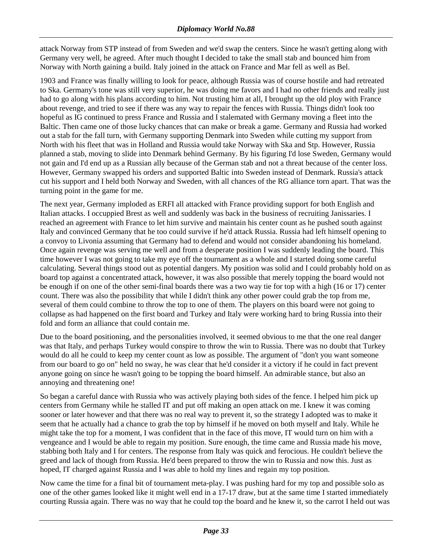attack Norway from STP instead of from Sweden and we'd swap the centers. Since he wasn't getting along with Germany very well, he agreed. After much thought I decided to take the small stab and bounced him from Norway with North gaining a build. Italy joined in the attack on France and Mar fell as well as Bel.

1903 and France was finally willing to look for peace, although Russia was of course hostile and had retreated to Ska. Germany's tone was still very superior, he was doing me favors and I had no other friends and really just had to go along with his plans according to him. Not trusting him at all, I brought up the old ploy with France about revenge, and tried to see if there was any way to repair the fences with Russia. Things didn't look too hopeful as IG continued to press France and Russia and I stalemated with Germany moving a fleet into the Baltic. Then came one of those lucky chances that can make or break a game. Germany and Russia had worked out a stab for the fall turn, with Germany supporting Denmark into Sweden while cutting my support from North with his fleet that was in Holland and Russia would take Norway with Ska and Stp. However, Russia planned a stab, moving to slide into Denmark behind Germany. By his figuring I'd lose Sweden, Germany would not gain and I'd end up as a Russian ally because of the German stab and not a threat because of the center loss. However, Germany swapped his orders and supported Baltic into Sweden instead of Denmark. Russia's attack cut his support and I held both Norway and Sweden, with all chances of the RG alliance torn apart. That was the turning point in the game for me.

The next year, Germany imploded as ERFI all attacked with France providing support for both English and Italian attacks. I occuppied Brest as well and suddenly was back in the business of recruiting Janissaries. I reached an agreement with France to let him survive and maintain his center count as he pushed south against Italy and convinced Germany that he too could survive if he'd attack Russia. Russia had left himself opening to a convoy to Livonia assuming that Germany had to defend and would not consider abandoning his homeland. Once again revenge was serving me well and from a desperate position I was suddenly leading the board. This time however I was not going to take my eye off the tournament as a whole and I started doing some careful calculating. Several things stood out as potential dangers. My position was solid and I could probably hold on as board top against a concentrated attack, however, it was also possible that merely topping the board would not be enough if on one of the other semi-final boards there was a two way tie for top with a high (16 or 17) center count. There was also the possibility that while I didn't think any other power could grab the top from me, several of them could combine to throw the top to one of them. The players on this board were not going to collapse as had happened on the first board and Turkey and Italy were working hard to bring Russia into their fold and form an alliance that could contain me.

Due to the board positioning, and the personalities involved, it seemed obvious to me that the one real danger was that Italy, and perhaps Turkey would conspire to throw the win to Russia. There was no doubt that Turkey would do all he could to keep my center count as low as possible. The argument of "don't you want someone from our board to go on" held no sway, he was clear that he'd consider it a victory if he could in fact prevent anyone going on since he wasn't going to be topping the board himself. An admirable stance, but also an annoying and threatening one!

So began a careful dance with Russia who was actively playing both sides of the fence. I helped him pick up centers from Germany while he stalled IT and put off making an open attack on me. I knew it was coming sooner or later however and that there was no real way to prevent it, so the strategy I adopted was to make it seem that he actually had a chance to grab the top by himself if he moved on both myself and Italy. While he might take the top for a moment, I was confident that in the face of this move, IT would turn on him with a vengeance and I would be able to regain my position. Sure enough, the time came and Russia made his move, stabbing both Italy and I for centers. The response from Italy was quick and ferocious. He couldn't believe the greed and lack of though from Russia. He'd been prepared to throw the win to Russia and now this. Just as hoped, IT charged against Russia and I was able to hold my lines and regain my top position.

Now came the time for a final bit of tournament meta-play. I was pushing hard for my top and possible solo as one of the other games looked like it might well end in a 17-17 draw, but at the same time I started immediately courting Russia again. There was no way that he could top the board and he knew it, so the carrot I held out was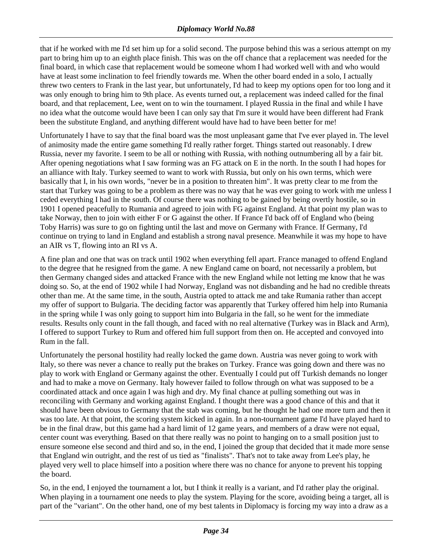that if he worked with me I'd set him up for a solid second. The purpose behind this was a serious attempt on my part to bring him up to an eighth place finish. This was on the off chance that a replacement was needed for the final board, in which case that replacement would be someone whom I had worked well with and who would have at least some inclination to feel friendly towards me. When the other board ended in a solo, I actually threw two centers to Frank in the last year, but unfortunately, I'd had to keep my options open for too long and it was only enough to bring him to 9th place. As events turned out, a replacement was indeed called for the final board, and that replacement, Lee, went on to win the tournament. I played Russia in the final and while I have no idea what the outcome would have been I can only say that I'm sure it would have been different had Frank been the substitute England, and anything different would have had to have been better for me!

Unfortunately I have to say that the final board was the most unpleasant game that I've ever played in. The level of animosity made the entire game something I'd really rather forget. Things started out reasonably. I drew Russia, never my favorite. I seem to be all or nothing with Russia, with nothing outnumbering all by a fair bit. After opening negotiations what I saw forming was an FG attack on E in the north. In the south I had hopes for an alliance with Italy. Turkey seemed to want to work with Russia, but only on his own terms, which were basically that I, in his own words, "never be in a position to threaten him". It was pretty clear to me from the start that Turkey was going to be a problem as there was no way that he was ever going to work with me unless I ceded everything I had in the south. Of course there was nothing to be gained by being overtly hostile, so in 1901 I opened peacefully to Rumania and agreed to join with FG against England. At that point my plan was to take Norway, then to join with either F or G against the other. If France I'd back off of England who (being Toby Harris) was sure to go on fighting until the last and move on Germany with France. If Germany, I'd continue on trying to land in England and establish a strong naval presence. Meanwhile it was my hope to have an AIR vs T, flowing into an RI vs A.

A fine plan and one that was on track until 1902 when everything fell apart. France managed to offend England to the degree that he resigned from the game. A new England came on board, not necessarily a problem, but then Germany changed sides and attacked France with the new England while not letting me know that he was doing so. So, at the end of 1902 while I had Norway, England was not disbanding and he had no credible threats other than me. At the same time, in the south, Austria opted to attack me and take Rumania rather than accept my offer of support to Bulgaria. The deciding factor was apparently that Turkey offered him help into Rumania in the spring while I was only going to support him into Bulgaria in the fall, so he went for the immediate results. Results only count in the fall though, and faced with no real alternative (Turkey was in Black and Arm), I offered to support Turkey to Rum and offered him full support from then on. He accepted and convoyed into Rum in the fall.

Unfortunately the personal hostility had really locked the game down. Austria was never going to work with Italy, so there was never a chance to really put the brakes on Turkey. France was going down and there was no play to work with England or Germany against the other. Eventually I could put off Turkish demands no longer and had to make a move on Germany. Italy however failed to follow through on what was supposed to be a coordinated attack and once again I was high and dry. My final chance at pulling something out was in reconciling with Germany and working against England. I thought there was a good chance of this and that it should have been obvious to Germany that the stab was coming, but he thought he had one more turn and then it was too late. At that point, the scoring system kicked in again. In a non-tournament game I'd have played hard to be in the final draw, but this game had a hard limit of 12 game years, and members of a draw were not equal, center count was everything. Based on that there really was no point to hanging on to a small position just to ensure someone else second and third and so, in the end, I joined the group that decided that it made more sense that England win outright, and the rest of us tied as "finalists". That's not to take away from Lee's play, he played very well to place himself into a position where there was no chance for anyone to prevent his topping the board.

So, in the end, I enjoyed the tournament a lot, but I think it really is a variant, and I'd rather play the original. When playing in a tournament one needs to play the system. Playing for the score, avoiding being a target, all is part of the "variant". On the other hand, one of my best talents in Diplomacy is forcing my way into a draw as a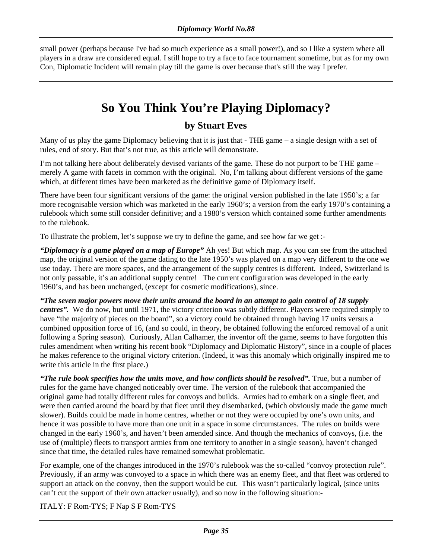<span id="page-34-0"></span>small power (perhaps because I've had so much experience as a small power!), and so I like a system where all players in a draw are considered equal. I still hope to try a face to face tournament sometime, but as for my own Con, Diplomatic Incident will remain play till the game is over because that's still the way I prefer.

# **So You Think You're Playing Diplomacy?**

## **by Stuart Eves**

Many of us play the game Diplomacy believing that it is just that - THE game – a single design with a set of rules, end of story. But that's not true, as this article will demonstrate.

I'm not talking here about deliberately devised variants of the game. These do not purport to be THE game – merely A game with facets in common with the original. No, I'm talking about different versions of the game which, at different times have been marketed as the definitive game of Diplomacy itself.

There have been four significant versions of the game: the original version published in the late 1950's; a far more recognisable version which was marketed in the early 1960's; a version from the early 1970's containing a rulebook which some still consider definitive; and a 1980's version which contained some further amendments to the rulebook.

To illustrate the problem, let's suppose we try to define the game, and see how far we get :-

*"Diplomacy is a game played on a map of Europe"* Ah yes! But which map. As you can see from the attached map, the original version of the game dating to the late 1950's was played on a map very different to the one we use today. There are more spaces, and the arrangement of the supply centres is different. Indeed, Switzerland is not only passable, it's an additional supply centre! The current configuration was developed in the early 1960's, and has been unchanged, (except for cosmetic modifications), since.

*"The seven major powers move their units around the board in an attempt to gain control of 18 supply centres".* We do now, but until 1971, the victory criterion was subtly different. Players were required simply to have "the majority of pieces on the board", so a victory could be obtained through having 17 units versus a combined opposition force of 16, (and so could, in theory, be obtained following the enforced removal of a unit following a Spring season). Curiously, Allan Calhamer, the inventor off the game, seems to have forgotten this rules amendment when writing his recent book "Diplomacy and Diplomatic History", since in a couple of places he makes reference to the original victory criterion. (Indeed, it was this anomaly which originally inspired me to write this article in the first place.)

*"The rule book specifies how the units move, and how conflicts should be resolved".* True, but a number of rules for the game have changed noticeably over time. The version of the rulebook that accompanied the original game had totally different rules for convoys and builds. Armies had to embark on a single fleet, and were then carried around the board by that fleet until they disembarked, (which obviously made the game much slower). Builds could be made in home centres, whether or not they were occupied by one's own units, and hence it was possible to have more than one unit in a space in some circumstances. The rules on builds were changed in the early 1960's, and haven't been amended since. And though the mechanics of convoys, (i.e. the use of (multiple) fleets to transport armies from one territory to another in a single season), haven't changed since that time, the detailed rules have remained somewhat problematic.

For example, one of the changes introduced in the 1970's rulebook was the so-called "convoy protection rule". Previously, if an army was convoyed to a space in which there was an enemy fleet, and that fleet was ordered to support an attack on the convoy, then the support would be cut. This wasn't particularly logical, (since units can't cut the support of their own attacker usually), and so now in the following situation:-

ITALY: F Rom-TYS; F Nap S F Rom-TYS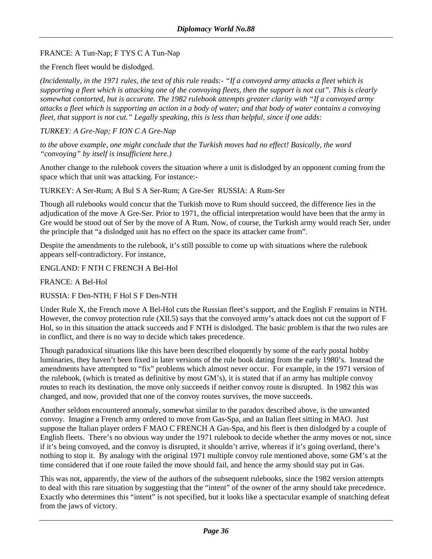### FRANCE: A Tun-Nap; F TYS C A Tun-Nap

the French fleet would be dislodged.

*(Incidentally, in the 1971 rules, the text of this rule reads:- "If a convoyed army attacks a fleet which is supporting a fleet which is attacking one of the convoying fleets, then the support is not cut". This is clearly somewhat contorted, but is accurate. The 1982 rulebook attempts greater clarity with "If a convoyed army attacks a fleet which is supporting an action in a body of water; and that body of water contains a convoying fleet, that support is not cut." Legally speaking, this is less than helpful, since if one adds:* 

*TURKEY: A Gre-Nap; F ION C A Gre-Nap* 

*to the above example, one might conclude that the Turkish moves had no effect! Basically, the word "convoying" by itself is insufficient here.)*

Another change to the rulebook covers the situation where a unit is dislodged by an opponent coming from the space which that unit was attacking. For instance:-

TURKEY: A Ser-Rum; A Bul S A Ser-Rum; A Gre-Ser RUSSIA: A Rum-Ser

Though all rulebooks would concur that the Turkish move to Rum should succeed, the difference lies in the adjudication of the move A Gre-Ser. Prior to 1971, the official interpretation would have been that the army in Gre would be stood out of Ser by the move of A Rum. Now, of course, the Turkish army would reach Ser, under the principle that "a dislodged unit has no effect on the space its attacker came from".

Despite the amendments to the rulebook, it's still possible to come up with situations where the rulebook appears self-contradictory. For instance,

ENGLAND: F NTH C FRENCH A Bel-Hol

FRANCE: A Bel-Hol

RUSSIA: F Den-NTH; F Hol S F Den-NTH

Under Rule X, the French move A Bel-Hol cuts the Russian fleet's support, and the English F remains in NTH. However, the convoy protection rule (XII.5) says that the convoyed army's attack does not cut the support of F Hol, so in this situation the attack succeeds and F NTH is dislodged. The basic problem is that the two rules are in conflict, and there is no way to decide which takes precedence.

Though paradoxical situations like this have been described eloquently by some of the early postal hobby luminaries, they haven't been fixed in later versions of the rule book dating from the early 1980's. Instead the amendments have attempted to "fix" problems which almost never occur. For example, in the 1971 version of the rulebook, (which is treated as definitive by most GM's), it is stated that if an army has multiple convoy routes to reach its destination, the move only succeeds if neither convoy route is disrupted. In 1982 this was changed, and now, provided that one of the convoy routes survives, the move succeeds.

Another seldom encountered anomaly, somewhat similar to the paradox described above, is the unwanted convoy. Imagine a French army ordered to move from Gas-Spa, and an Italian fleet sitting in MAO. Just suppose the Italian player orders F MAO C FRENCH A Gas-Spa, and his fleet is then dislodged by a couple of English fleets. There's no obvious way under the 1971 rulebook to decide whether the army moves or not, since if it's being convoyed, and the convoy is disrupted, it shouldn't arrive, whereas if it's going overland, there's nothing to stop it. By analogy with the original 1971 multiple convoy rule mentioned above, some GM's at the time considered that if one route failed the move should fail, and hence the army should stay put in Gas.

This was not, apparently, the view of the authors of the subsequent rulebooks, since the 1982 version attempts to deal with this rare situation by suggesting that the "intent" of the owner of the army should take precedence. Exactly who determines this "intent" is not specified, but it looks like a spectacular example of snatching defeat from the jaws of victory.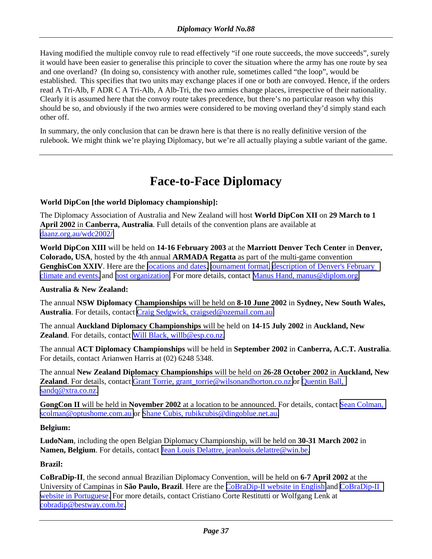<span id="page-36-0"></span>Having modified the multiple convoy rule to read effectively "if one route succeeds, the move succeeds", surely it would have been easier to generalise this principle to cover the situation where the army has one route by sea and one overland? (In doing so, consistency with another rule, sometimes called "the loop", would be established. This specifies that two units may exchange places if one or both are convoyed. Hence, if the orders read A Tri-Alb, F ADR C A Tri-Alb, A Alb-Tri, the two armies change places, irrespective of their nationality. Clearly it is assumed here that the convoy route takes precedence, but there's no particular reason why this should be so, and obviously if the two armies were considered to be moving overland they'd simply stand each other off.

In summary, the only conclusion that can be drawn here is that there is no really definitive version of the rulebook. We might think we're playing Diplomacy, but we're all actually playing a subtle variant of the game.

# **Face-to-Face Diplomacy**

#### **World DipCon [the world Diplomacy championship]:**

The Diplomacy Association of Australia and New Zealand will host **World DipCon XII** on **29 March to 1 April 2002** in **Canberra, Australia**. Full details of the convention plans are available at [daanz.org.au/wdc2002/.](http://daanz.org.au/wdc2002/)

**World DipCon XIII** will be held on **14-16 February 2003** at the **Marriott Denver Tech Center** in **Denver, Colorado, USA**, hosted by the 4th annual **ARMADA Regatta** as part of the multi-game convention GenghisCon XXIV. Here are the [locations and dates,](http://devel.diplom.org/armada/2003/Dates.htm) [tournament format,](http://devel.diplom.org/armada/2003/Format.htm) description of Denver's February [climate and events,](http://devel.diplom.org/armada/2003/Events.htm) and [host organization.](http://devel.diplom.org/armada/2003/Orgin.htm) For more details, contact [Manus Hand, manus@diplom.org.](mailto:manus@diplom.org)

#### **Australia & New Zealand:**

The annual **NSW Diplomacy Championships** will be held on **8-10 June 2002** in **Sydney, New South Wales, Australia**. For details, contact [Craig Sedgwick, craigsed@ozemail.com.au.](mailto:craigsed@ozemail.com.au)

The annual **Auckland Diplomacy Championships** will be held on **14-15 July 2002** in **Auckland, New Zealand**. For details, contact [Will Black, willb@esp.co.nz.](mailto:willb@esp.co.nz)

The annual **ACT Diplomacy Championships** will be held in **September 2002** in **Canberra, A.C.T. Australia**. For details, contact Arianwen Harris at (02) 6248 5348.

The annual **New Zealand Diplomacy Championships** will be held on **26-28 October 2002** in **Auckland, New Zealand**. For details, contact Grant Torrie, grant torrie@wilsonandhorton.co.nz or Quentin Ball, [sandq@xtra.co.nz.](mailto:sandq@xtra.co.nz) 

**GongCon II** will be held in **November 2002** at a location to be announced. For details, contact [Sean Colman,](mailto:scolman@optushome.com.au)  [scolman@optushome.com.au](mailto:scolman@optushome.com.au) or [Shane Cubis, rubikcubis@dingoblue.net.au.](mailto:rubikcubis@dingoblue.net.au)

#### **Belgium:**

**LudoNam**, including the open Belgian Diplomacy Championship, will be held on **30-31 March 2002** in Namen, Belgium. For details, contact [Jean Louis Delattre, jeanlouis.delattre@win.be.](mailto:jeanlouis.delattre@win.be)

#### **Brazil:**

**CoBraDip-II**, the second annual Brazilian Diplomacy Convention, will be held on **6-7 April 2002** at the University of Campinas in **São Paulo, Brazil**. Here are the [CoBraDip-II website in English](http://www.bestway.com.br/~mfrest/cobracon.htm) and [CoBraDip-II](http://www.bestway.com.br/~mfrest/COBRADIP-II.htm)  [website in Portuguese.](http://www.bestway.com.br/~mfrest/COBRADIP-II.htm) For more details, contact Cristiano Corte Restitutti or Wolfgang Lenk at [cobradip@bestway.com.br.](mailto:cobradip@bestway.com.br)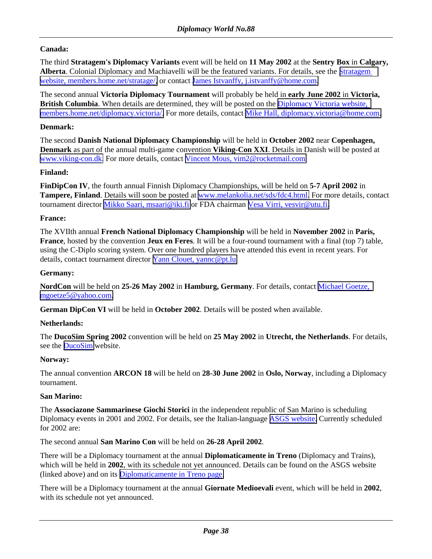### **Canada:**

The third **Stratagem's Diplomacy Variants** event will be held on **11 May 2002** at the **Sentry Box** in **Calgary, Alberta**. Colonial Diplomacy and Machiavelli will be the featured variants. For details, see the [Stratagem](http://members.home.net/stratage/)  [website, members.home.net/stratage/,](http://members.home.net/stratage/) or contact [James Istvanffy, j.istvanffy@home.com.](mailto:j.istvanffy@home.com)

The second annual **Victoria Diplomacy Tournament** will probably be held in **early June 2002** in **Victoria, British Columbia**. When details are determined, they will be posted on the [Diplomacy Victoria website,](http://members.home.net/diplomacy.victoria/)  [members.home.net/diplomacy.victoria/.](http://members.home.net/diplomacy.victoria/) For more details, contact [Mike Hall, diplomacy.victoria@home.com.](mailto:diplomacy.victoria@home.com)

#### **Denmark:**

The second **Danish National Diplomacy Championship** will be held in **October 2002** near **Copenhagen, Denmark** as part of the annual multi-game convention **Viking-Con XXI**. Details in Danish will be posted at [www.viking-con.dk.](http://www.viking-con.dk/) For more details, contact [Vincent Mous, vim2@rocketmail.com.](mailto:vim2@rocketmail.com)

#### **Finland:**

**FinDipCon IV**, the fourth annual Finnish Diplomacy Championships, will be held on **5-7 April 2002** in **Tampere, Finland**. Details will soon be posted at [www.melankolia.net/sds/fdc4.html.](http://www.melankolia.net/sds/fdc4.html) For more details, contact tournament director [Mikko Saari, msaari@iki.fi](mailto:msaari@iki.fi) or FDA chairman [Vesa Virri, vesvir@utu.fi.](mailto:vesvir@utu.fi)

#### **France:**

The XVIIth annual **French National Diplomacy Championship** will be held in **November 2002** in **Paris, France**, hosted by the convention **Jeux en Feres**. It will be a four-round tournament with a final (top 7) table, using the C-Diplo scoring system. Over one hundred players have attended this event in recent years. For details, contact tournament director Yann Clouet, yanne@pt.lu.

#### **Germany:**

**NordCon** will be held on **25-26 May 2002** in **Hamburg, Germany**. For details, contact [Michael Goetze,](mailto:mgoetze5@yahoo.com)  [mgoetze5@yahoo.com.](mailto:mgoetze5@yahoo.com)

**German DipCon VI** will be held in **October 2002**. Details will be posted when available.

#### **Netherlands:**

The **DucoSim Spring 2002** convention will be held on **25 May 2002** in **Utrecht, the Netherlands**. For details, see the **DucoSim** website.

#### **Norway:**

The annual convention **ARCON 18** will be held on **28-30 June 2002** in **Oslo, Norway**, including a Diplomacy tournament.

#### **San Marino:**

The **Associazone Sammarinese Giochi Storici** in the independent republic of San Marino is scheduling Diplomacy events in 2001 and 2002. For details, see the Italian-language [ASGS website.](http://webspace.omniway.sm/asgs/) Currently scheduled for 2002 are:

The second annual **San Marino Con** will be held on **26-28 April 2002**.

There will be a Diplomacy tournament at the annual **Diplomaticamente in Treno** (Diplomacy and Trains), which will be held in **2002**, with its schedule not yet announced. Details can be found on the ASGS website (linked above) and on its [Diplomaticamente in Treno page.](http://webspace.omniway.sm/asgs/diptreno.html)

There will be a Diplomacy tournament at the annual **Giornate Medioevali** event, which will be held in **2002**, with its schedule not yet announced.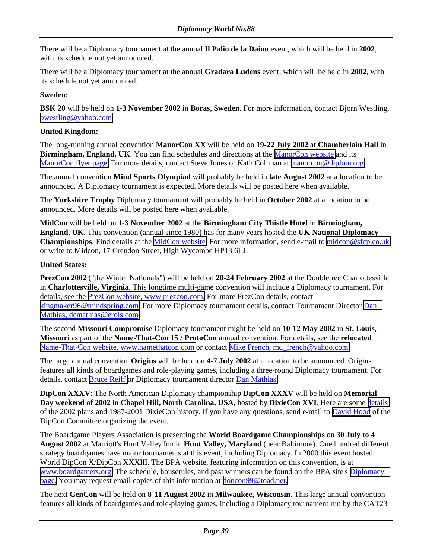There will be a Diplomacy tournament at the annual **Il Palio de la Daino** event, which will be held in **2002**, with its schedule not yet announced.

There will be a Diplomacy tournament at the annual **Gradara Ludens** event, which will be held in **2002**, with its schedule not yet announced.

### **Sweden:**

**BSK 20** will be held on **1-3 November 2002** in **Boras, Sweden**. For more information, contact Bjorn Westling, [bwestling@yahoo.com.](mailto:bwestling@yahoo.com)

#### **United Kingdom:**

The long-running annual convention **ManorCon XX** will be held on **19-22 July 2002** at **Chamberlain Hall** in **Birmingham, England, UK**. You can find schedules and directions at the [ManorCon website](http://www.diplom.org/manorcon) and its [ManorCon flyer page.](http://www.diplom.org/manorcon/flyer.htm) For more details, contact Steve Jones or Kath Collman at [manorcon@diplom.org.](mailto:manorcon@diplom.org)

The annual convention **Mind Sports Olympiad** will probably be held in **late August 2002** at a location to be announced. A Diplomacy tournament is expected. More details will be posted here when available.

The **Yorkshire Trophy** Diplomacy tournament will probably be held in **October 2002** at a location to be announced. More details will be posted here when available.

**MidCon** will be held on **1-3 November 2002** at the **Birmingham City Thistle Hotel** in **Birmingham, England, UK**. This convention (annual since 1980) has for many years hosted the **UK National Diplomacy Championships**. Find details at the [MidCon website.](http://www.sfcp.co.uk/Events/Midcon/index.htm) For more information, send e-mail to [midcon@sfcp.co.uk,](mailto:midcon@sfcp.co.uk) or write to Midcon, 17 Crendon Street, High Wycombe HP13 6LJ.

#### **United States:**

**PrezCon 2002** ("the Winter Nationals") will be held on **20-24 February 2002** at the Doubletree Charlottesville in **Charlottesville, Virginia**. This longtime multi-game convention will include a Diplomacy tournament. For details, see the [PrezCon website, www.prezcon.com.](http://www.prezcon.com/) For more PrezCon details, contact [kingmaker96@mindspring.com.](mailto:kingmaker96@mindspring.com) For more Diplomacy tournament details, contact Tournament Director [Dan](mailto:dcmathias@erols.com)  [Mathias, dcmathias@erols.com.](mailto:dcmathias@erols.com)

The second **Missouri Compromise** Diplomacy tournament might be held on **10-12 May 2002** in **St. Louis, Missouri** as part of the **Name-That-Con 15 / ProtoCon** annual convention. For details, see the **relocated** [Name-That-Con website, www.namethatcon.com](http://www.namethatcon.com/) or contact [Mike French, md\\_french@yahoo.com.](mailto:md_french@yahoo.com)

The large annual convention **Origins** will be held on **4-7 July 2002** at a location to be announced. Origins features all kinds of boardgames and role-playing games, including a three-round Diplomacy tournament. For details, contact [Bruce Reiff o](mailto:BDReiff@aol.com)r Diplomacy tournament director [Dan Mathias.](mailto:dcmathias@erols.com)

**DipCon XXXV**: The North American Diplomacy championship **DipCon XXXV** will be held on **Memorial Day weekend of 2002** in **Chapel Hill, North Carolina, USA**, hosted by **DixieCon XVI**. Here are some [details](http://www.diplomaticcorps.org/ComingEvents/DipDixie02/DipconBid.html) of the 2002 plans and 1987-2001 DixieCon history. If you have any questions, send e-mail to [David Hood](mailto:David_Hood@w3link.com) of the DipCon Committee organizing the event.

The Boardgame Players Association is presenting the **World Boardgame Championships** on **30 July to 4 August 2002** at Marriott's Hunt Valley Inn in **Hunt Valley, Maryland** (near Baltimore). One hundred different strategy boardgames have major tournaments at this event, including Diplomacy. In 2000 this event hosted World DipCon X/DipCon XXXIII. The BPA website, featuring information on this convention, is at [www.boardgamers.org.](http://www.boardgamers.org/) The schedule, houserules, and past winners can be found on the BPA site's [Diplomacy](http://www.boardgamers.org/yearbook/dippge.htm)  [page.](http://www.boardgamers.org/yearbook/dippge.htm) You may request email copies of this information at [doncon99@toad.net.](mailto:doncon99@toad.net)

The next **GenCon** will be held on **8-11 August 2002** in **Milwaukee, Wisconsin**. This large annual convention features all kinds of boardgames and role-playing games, including a Diplomacy tournament run by the CAT23